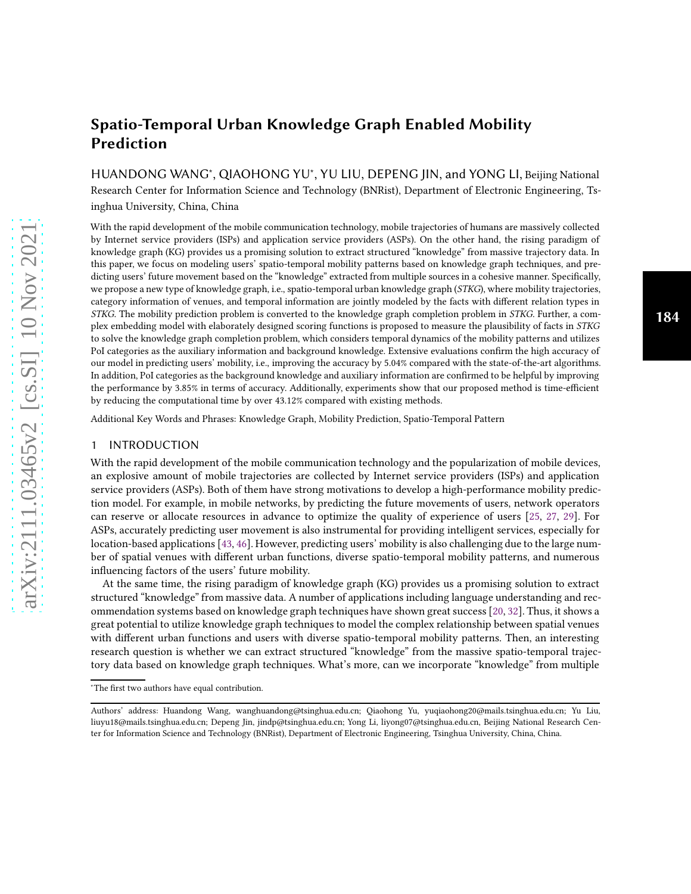# Spatio-Temporal Urban Knowledge Graph Enabled Mobility Prediction

HUANDONG WANG<sup>\*</sup>, QIAOHONG YU<sup>\*</sup>, YU LIU, DEPENG JIN, and YONG LI, Beijing National Research Center for Information Science and Technology (BNRist), Department of Electronic Engineering, Tsinghua University, China, China

With the rapid development of the mobile communication technology, mobile trajectories of humans are massively collected by Internet service providers (ISPs) and application service providers (ASPs). On the other hand, the rising paradigm of knowledge graph (KG) provides us a promising solution to extract structured "knowledge" from massive trajectory data. In this paper, we focus on modeling users' spatio-temporal mobility patterns based on knowledge graph techniques, and predicting users' future movement based on the "knowledge" extracted from multiple sources in a cohesive manner. Specifically, we propose a new type of knowledge graph, i.e., spatio-temporal urban knowledge graph (STKG), where mobility trajectories, category information of venues, and temporal information are jointly modeled by the facts with different relation types in STKG. The mobility prediction problem is converted to the knowledge graph completion problem in STKG. Further, a complex embedding model with elaborately designed scoring functions is proposed to measure the plausibility of facts in STKG to solve the knowledge graph completion problem, which considers temporal dynamics of the mobility patterns and utilizes PoI categories as the auxiliary information and background knowledge. Extensive evaluations confirm the high accuracy of our model in predicting users' mobility, i.e., improving the accuracy by 5.04% compared with the state-of-the-art algorithms. In addition, PoI categories as the background knowledge and auxiliary information are confirmed to be helpful by improving the performance by 3.85% in terms of accuracy. Additionally, experiments show that our proposed method is time-efficient by reducing the computational time by over 43.12% compared with existing methods.

Additional Key Words and Phrases: Knowledge Graph, Mobility Prediction, Spatio-Temporal Pattern

#### 1 INTRODUCTION

With the rapid development of the mobile communication technology and the popularization of mobile devices, an explosive amount of mobile trajectories are collected by Internet service providers (ISPs) and application service providers (ASPs). Both of them have strong motivations to develop a high-performance mobility prediction model. For example, in mobile networks, by predicting the future movements of users, network operators can reserve or allocate resources in advance to optimize the quality of experience of users [\[25](#page-21-0), [27,](#page-21-1) [29\]](#page-21-2). For ASPs, accurately predicting user movement is also instrumental for providing intelligent services, especially for location-based applications [\[43,](#page-22-0) [46\]](#page-22-1). However, predicting users' mobility is also challenging due to the large number of spatial venues with different urban functions, diverse spatio-temporal mobility patterns, and numerous influencing factors of the users' future mobility.

At the same time, the rising paradigm of knowledge graph (KG) provides us a promising solution to extract structured "knowledge" from massive data. A number of applications including language understanding and recommendation systems based on knowledge graph techniques have shown great success [\[20,](#page-21-3) [32](#page-22-2)]. Thus, it shows a great potential to utilize knowledge graph techniques to model the complex relationship between spatial venues with different urban functions and users with diverse spatio-temporal mobility patterns. Then, an interesting research question is whether we can extract structured "knowledge" from the massive spatio-temporal trajectory data based on knowledge graph techniques. What's more, can we incorporate "knowledge" from multiple

<sup>∗</sup>The first two authors have equal contribution.

Authors' address: Huandong Wang, wanghuandong@tsinghua.edu.cn; Qiaohong Yu, yuqiaohong20@mails.tsinghua.edu.cn; Yu Liu, liuyu18@mails.tsinghua.edu.cn; Depeng Jin, jindp@tsinghua.edu.cn; Yong Li, liyong07@tsinghua.edu.cn, Beijing National Research Center for Information Science and Technology (BNRist), Department of Electronic Engineering, Tsinghua University, China, China.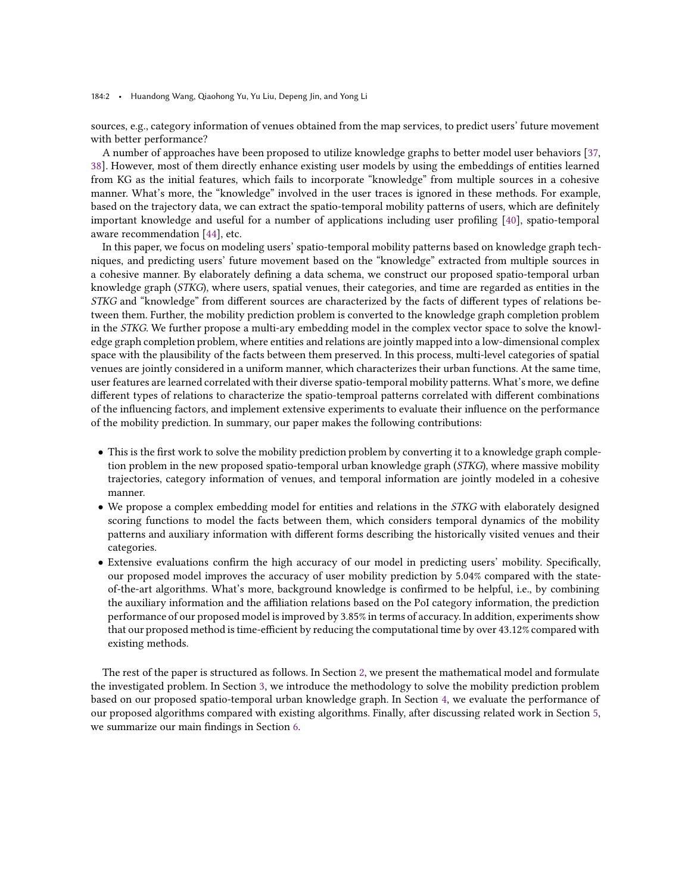184:2 • Huandong Wang, Qiaohong Yu, Yu Liu, Depeng Jin, and Yong Li

sources, e.g., category information of venues obtained from the map services, to predict users' future movement with better performance?

A number of approaches have been proposed to utilize knowledge graphs to better model user behaviors [\[37](#page-22-3), [38](#page-22-4)]. However, most of them directly enhance existing user models by using the embeddings of entities learned from KG as the initial features, which fails to incorporate "knowledge" from multiple sources in a cohesive manner. What's more, the "knowledge" involved in the user traces is ignored in these methods. For example, based on the trajectory data, we can extract the spatio-temporal mobility patterns of users, which are definitely important knowledge and useful for a number of applications including user profiling [\[40\]](#page-22-5), spatio-temporal aware recommendation [\[44](#page-22-6)], etc.

In this paper, we focus on modeling users' spatio-temporal mobility patterns based on knowledge graph techniques, and predicting users' future movement based on the "knowledge" extracted from multiple sources in a cohesive manner. By elaborately defining a data schema, we construct our proposed spatio-temporal urban knowledge graph (STKG), where users, spatial venues, their categories, and time are regarded as entities in the STKG and "knowledge" from different sources are characterized by the facts of different types of relations between them. Further, the mobility prediction problem is converted to the knowledge graph completion problem in the STKG. We further propose a multi-ary embedding model in the complex vector space to solve the knowledge graph completion problem, where entities and relations are jointly mapped into a low-dimensional complex space with the plausibility of the facts between them preserved. In this process, multi-level categories of spatial venues are jointly considered in a uniform manner, which characterizes their urban functions. At the same time, user features are learned correlated with their diverse spatio-temporal mobility patterns. What's more, we define different types of relations to characterize the spatio-temproal patterns correlated with different combinations of the influencing factors, and implement extensive experiments to evaluate their influence on the performance of the mobility prediction. In summary, our paper makes the following contributions:

- This is the first work to solve the mobility prediction problem by converting it to a knowledge graph completion problem in the new proposed spatio-temporal urban knowledge graph (STKG), where massive mobility trajectories, category information of venues, and temporal information are jointly modeled in a cohesive manner.
- We propose a complex embedding model for entities and relations in the STKG with elaborately designed scoring functions to model the facts between them, which considers temporal dynamics of the mobility patterns and auxiliary information with different forms describing the historically visited venues and their categories.
- Extensive evaluations confirm the high accuracy of our model in predicting users' mobility. Specifically, our proposed model improves the accuracy of user mobility prediction by 5.04% compared with the stateof-the-art algorithms. What's more, background knowledge is confirmed to be helpful, i.e., by combining the auxiliary information and the affiliation relations based on the PoI category information, the prediction performance of our proposed model is improved by 3.85% in terms of accuracy. In addition, experiments show that our proposed method is time-efficient by reducing the computational time by over 43.12% compared with existing methods.

The rest of the paper is structured as follows. In Section [2,](#page-2-0) we present the mathematical model and formulate the investigated problem. In Section [3,](#page-3-0) we introduce the methodology to solve the mobility prediction problem based on our proposed spatio-temporal urban knowledge graph. In Section [4,](#page-8-0) we evaluate the performance of our proposed algorithms compared with existing algorithms. Finally, after discussing related work in Section [5,](#page-17-0) we summarize our main findings in Section [6.](#page-20-0)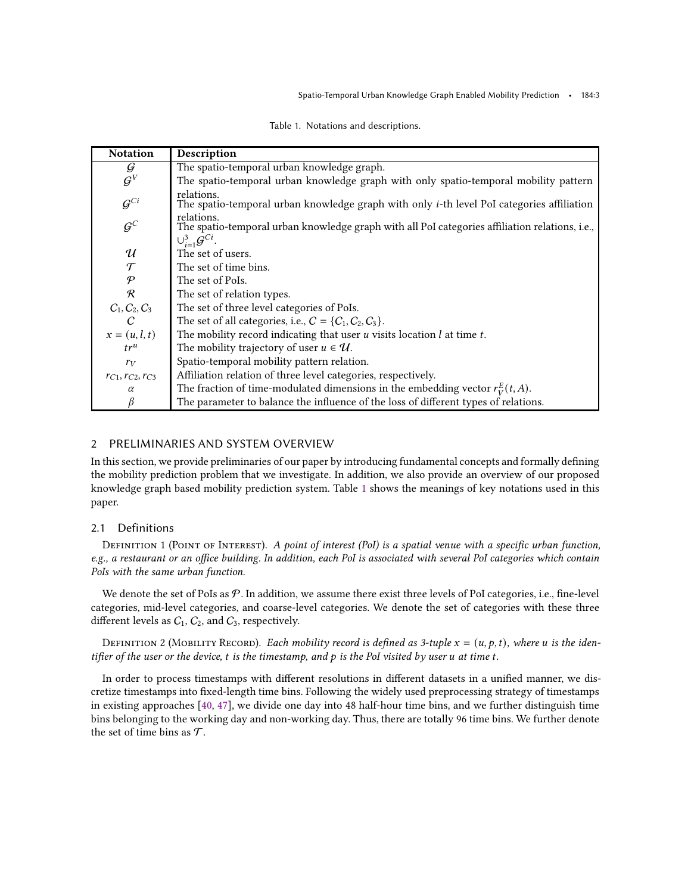<span id="page-2-1"></span>

| <b>Notation</b>            | Description                                                                                                                                       |
|----------------------------|---------------------------------------------------------------------------------------------------------------------------------------------------|
| G                          | The spatio-temporal urban knowledge graph.                                                                                                        |
| $\mathcal{G}^V$            | The spatio-temporal urban knowledge graph with only spatio-temporal mobility pattern                                                              |
| $G^{Ci}$                   | relations.<br>The spatio-temporal urban knowledge graph with only <i>i</i> -th level PoI categories affiliation                                   |
| $G^C$                      | relations.<br>The spatio-temporal urban knowledge graph with all PoI categories affiliation relations, i.e.,<br>$\cup_{i=1}^{3} \mathcal{G}^{Ci}$ |
| $\boldsymbol{\mathcal{U}}$ | The set of users.                                                                                                                                 |
| $\mathcal{T}$              | The set of time bins.                                                                                                                             |
| $\mathcal{P}$              | The set of PoIs.                                                                                                                                  |
| $\mathcal{R}$              | The set of relation types.                                                                                                                        |
| $C_1, C_2, C_3$            | The set of three level categories of PoIs.                                                                                                        |
| C                          | The set of all categories, i.e., $C = \{C_1, C_2, C_3\}$ .                                                                                        |
| $x=(u, l, t)$              | The mobility record indicating that user $u$ visits location $l$ at time $t$ .                                                                    |
| $tr^u$                     | The mobility trajectory of user $u \in \mathcal{U}$ .                                                                                             |
| $r_V$                      | Spatio-temporal mobility pattern relation.                                                                                                        |
| $r_{C1}, r_{C2}, r_{C3}$   | Affiliation relation of three level categories, respectively.                                                                                     |
| $\alpha$                   | The fraction of time-modulated dimensions in the embedding vector $r_V^E(t, A)$ .                                                                 |
|                            | The parameter to balance the influence of the loss of different types of relations.                                                               |

| Table 1. Notations and descriptions. |  |
|--------------------------------------|--|
|--------------------------------------|--|

# <span id="page-2-0"></span>2 PRELIMINARIES AND SYSTEM OVERVIEW

In this section, we provide preliminaries of our paper by introducing fundamental concepts and formally defining the mobility prediction problem that we investigate. In addition, we also provide an overview of our proposed knowledge graph based mobility prediction system. Table [1](#page-2-1) shows the meanings of key notations used in this paper.

# 2.1 Definitions

DEFINITION 1 (POINT OF INTEREST). A point of interest (PoI) is a spatial venue with a specific urban function, e.g., a restaurant or an office building. In addition, each PoI is associated with several PoI categories which contain PoIs with the same urban function.

We denote the set of PoIs as  $P$ . In addition, we assume there exist three levels of PoI categories, i.e., fine-level categories, mid-level categories, and coarse-level categories. We denote the set of categories with these three different levels as  $C_1$ ,  $C_2$ , and  $C_3$ , respectively.

DEFINITION 2 (MOBILITY RECORD). Each mobility record is defined as 3-tuple  $x = (u, p, t)$ , where u is the identifier of the user or the device,  $t$  is the timestamp, and  $p$  is the PoI visited by user  $u$  at time  $t$ .

In order to process timestamps with different resolutions in different datasets in a unified manner, we discretize timestamps into fixed-length time bins. Following the widely used preprocessing strategy of timestamps in existing approaches [\[40,](#page-22-5) [47\]](#page-22-7), we divide one day into 48 half-hour time bins, and we further distinguish time bins belonging to the working day and non-working day. Thus, there are totally 96 time bins. We further denote the set of time bins as  $\mathcal{T}$ .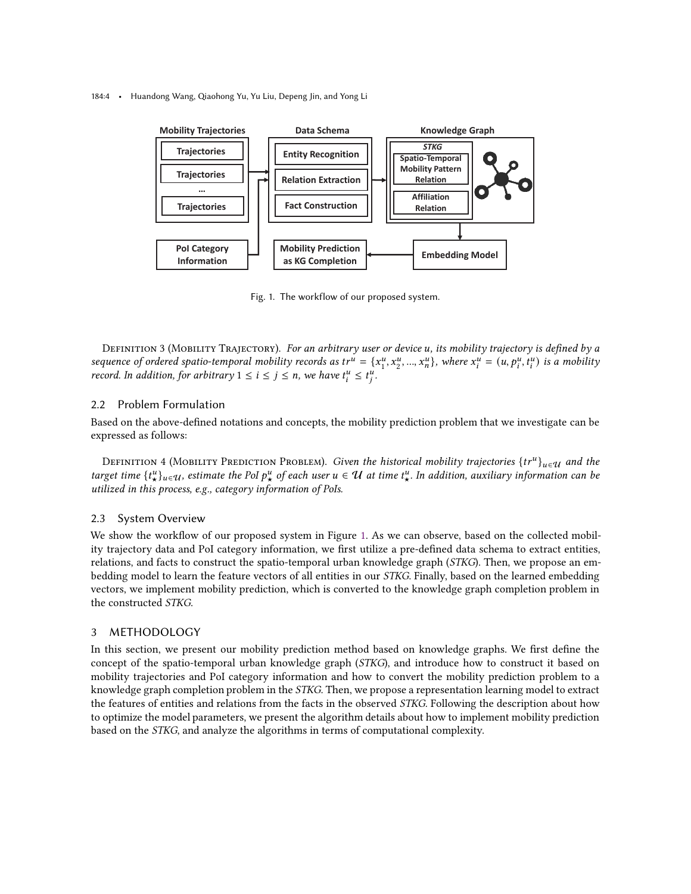#### <span id="page-3-1"></span>184:4 • Huandong Wang, Qiaohong Yu, Yu Liu, Depeng Jin, and Yong Li



Fig. 1. The workflow of our proposed system.

DEFINITION 3 (MOBILITY TRAJECTORY). For an arbitrary user or device u, its mobility trajectory is defined by a sequence of ordered spatio-temporal mobility records as  $tr^u = \{x_1^u, x_2^u, ..., x_n^u\}$ , where  $x_i^u = (u, p_i^u, t_i^u)$  is a mobility record. In addition, for arbitrary  $1 \leq i \leq j \leq n$ , we have  $t_i^u \leq t_j^u$ .

## 2.2 Problem Formulation

Based on the above-defined notations and concepts, the mobility prediction problem that we investigate can be expressed as follows:

DEFINITION 4 (MOBILITY PREDICTION PROBLEM). Given the historical mobility trajectories  $\{tr^u\}_{u\in\mathcal{U}}$  and the target time  $\{t_\star^u\}_{u\in U}$ , estimate the PoI  $p_\star^u$  of each user  $u\in U$  at time  $t_\star^u$ . In addition, auxiliary information can be utilized in this process, e.g., category information of PoIs.

## 2.3 System Overview

We show the workflow of our proposed system in Figure [1.](#page-3-1) As we can observe, based on the collected mobility trajectory data and PoI category information, we first utilize a pre-defined data schema to extract entities, relations, and facts to construct the spatio-temporal urban knowledge graph (STKG). Then, we propose an embedding model to learn the feature vectors of all entities in our STKG. Finally, based on the learned embedding vectors, we implement mobility prediction, which is converted to the knowledge graph completion problem in the constructed STKG.

# <span id="page-3-0"></span>3 METHODOLOGY

In this section, we present our mobility prediction method based on knowledge graphs. We first define the concept of the spatio-temporal urban knowledge graph (STKG), and introduce how to construct it based on mobility trajectories and PoI category information and how to convert the mobility prediction problem to a knowledge graph completion problem in the STKG. Then, we propose a representation learning model to extract the features of entities and relations from the facts in the observed STKG. Following the description about how to optimize the model parameters, we present the algorithm details about how to implement mobility prediction based on the STKG, and analyze the algorithms in terms of computational complexity.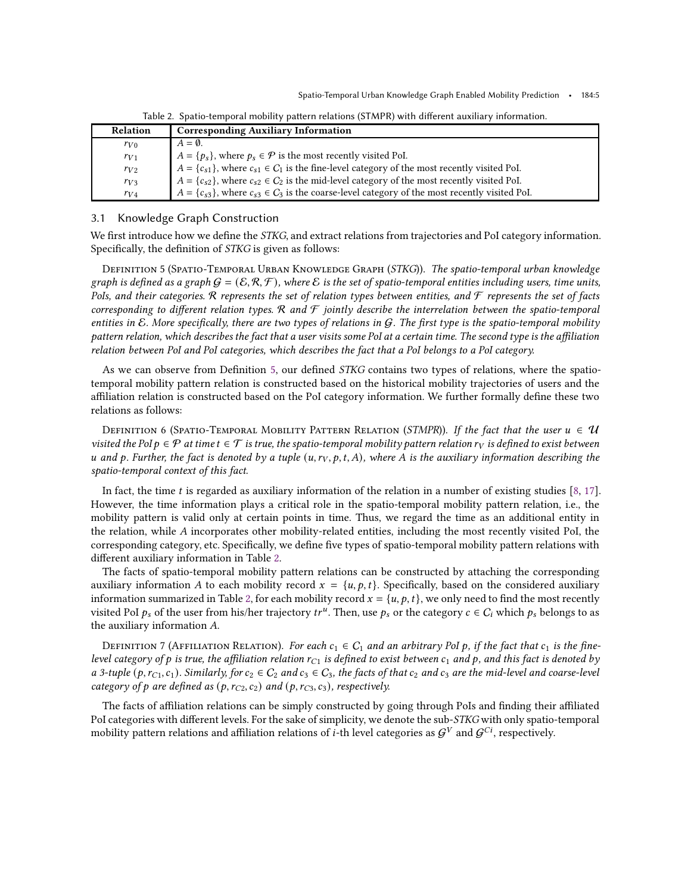<span id="page-4-1"></span>

| <b>Relation</b> | <b>Corresponding Auxiliary Information</b>                                                                 |
|-----------------|------------------------------------------------------------------------------------------------------------|
| $r_{V0}$        | $A = \emptyset$ .                                                                                          |
| $r_{V1}$        | $A = \{p_s\}$ , where $p_s \in \mathcal{P}$ is the most recently visited PoI.                              |
| $r_{V2}$        | $A = \{c_{s1}\}\$ , where $c_{s1} \in C_1$ is the fine-level category of the most recently visited PoI.    |
| $r_{V3}$        | $A = \{c_{s2}\}\$ , where $c_{s2} \in C_2$ is the mid-level category of the most recently visited PoI.     |
| $r_{V4}$        | $A = \{c_{s3}\}\,$ , where $c_{s3} \in C_3$ is the coarse-level category of the most recently visited PoI. |

Table 2. Spatio-temporal mobility pattern relations (STMPR) with different auxiliary information.

#### 3.1 Knowledge Graph Construction

We first introduce how we define the *STKG*, and extract relations from trajectories and PoI category information. Specifically, the definition of STKG is given as follows:

<span id="page-4-0"></span>DEFINITION 5 (SPATIO-TEMPORAL URBAN KNOWLEDGE GRAPH (STKG)). The spatio-temporal urban knowledge graph is defined as a graph  $G = (\mathcal{E}, \mathcal{R}, \mathcal{F})$ , where  $\mathcal{E}$  is the set of spatio-temporal entities including users, time units, PoIs, and their categories. R represents the set of relation types between entities, and  $\mathcal F$  represents the set of facts corresponding to different relation types. R and  $F$  jointly describe the interrelation between the spatio-temporal entities in E. More specifically, there are two types of relations in  $G$ . The first type is the spatio-temporal mobility pattern relation, which describes the fact that a user visits some PoI at a certain time. The second type is the affiliation relation between PoI and PoI categories, which describes the fact that a PoI belongs to a PoI category.

As we can observe from Definition [5,](#page-4-0) our defined STKG contains two types of relations, where the spatiotemporal mobility pattern relation is constructed based on the historical mobility trajectories of users and the affiliation relation is constructed based on the PoI category information. We further formally define these two relations as follows:

DEFINITION 6 (SPATIO-TEMPORAL MOBILITY PATTERN RELATION (STMPR)). If the fact that the user  $u \in \mathcal{U}$ visited the PoI  $p \in \mathcal{P}$  at time  $t \in \mathcal{T}$  is true, the spatio-temporal mobility pattern relation  $r_V$  is defined to exist between u and p. Further, the fact is denoted by a tuple  $(u, r_V, p, t, A)$ , where A is the auxiliary information describing the spatio-temporal context of this fact.

In fact, the time  $t$  is regarded as auxiliary information of the relation in a number of existing studies [\[8,](#page-21-4) [17](#page-21-5)]. However, the time information plays a critical role in the spatio-temporal mobility pattern relation, i.e., the mobility pattern is valid only at certain points in time. Thus, we regard the time as an additional entity in the relation, while A incorporates other mobility-related entities, including the most recently visited PoI, the corresponding category, etc. Specifically, we define five types of spatio-temporal mobility pattern relations with different auxiliary information in Table [2.](#page-4-1)

The facts of spatio-temporal mobility pattern relations can be constructed by attaching the corresponding auxiliary information A to each mobility record  $x = \{u, p, t\}$ . Specifically, based on the considered auxiliary information summarized in Table [2,](#page-4-1) for each mobility record  $x = \{u, p, t\}$ , we only need to find the most recently visited PoI  $p_s$  of the user from his/her trajectory  $tr^u$ . Then, use  $p_s$  or the category  $c \in C_i$  which  $p_s$  belongs to as the auxiliary information A.

DEFINITION 7 (AFFILIATION RELATION). For each  $c_1 \in C_1$  and an arbitrary PoI p, if the fact that  $c_1$  is the finelevel category of p is true, the affiliation relation  $r_{C_1}$  is defined to exist between  $c_1$  and p, and this fact is denoted by a 3-tuple  $(p, r_{C_1}, c_1)$ . Similarly, for  $c_2 \in C_2$  and  $c_3 \in C_3$ , the facts of that  $c_2$  and  $c_3$  are the mid-level and coarse-level category of p are defined as  $(p, r_{C2}, c_2)$  and  $(p, r_{C3}, c_3)$ , respectively.

The facts of affiliation relations can be simply constructed by going through PoIs and finding their affiliated PoI categories with different levels. For the sake of simplicity, we denote the sub-STKG with only spatio-temporal mobility pattern relations and affiliation relations of  $i$ -th level categories as  $\mathcal{G}^V$  and  $\mathcal{G}^{Ci}$ , respectively.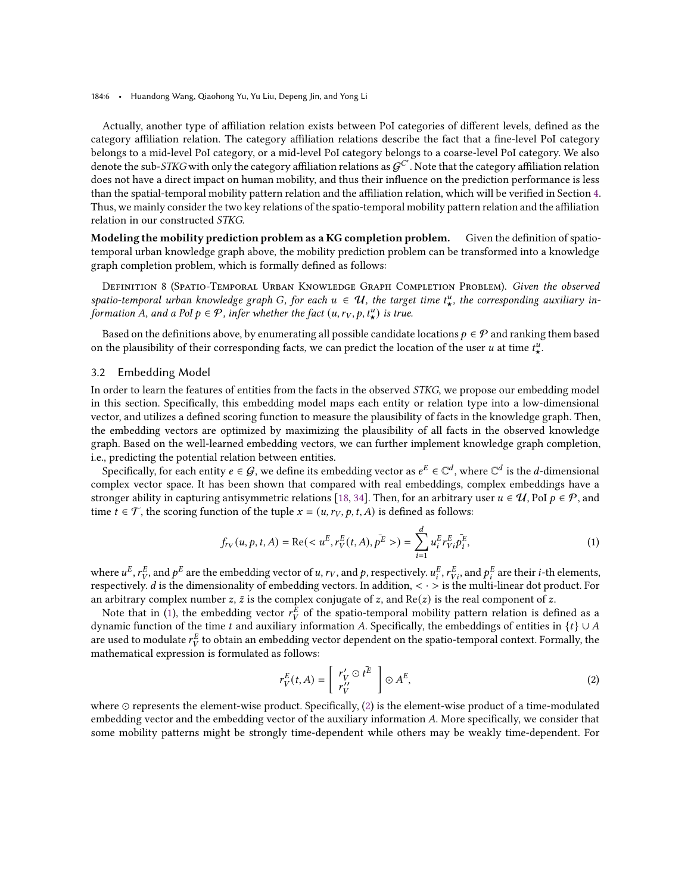184:6 • Huandong Wang, Qiaohong Yu, Yu Liu, Depeng Jin, and Yong Li

Actually, another type of affiliation relation exists between PoI categories of different levels, defined as the category affiliation relation. The category affiliation relations describe the fact that a fine-level PoI category belongs to a mid-level PoI category, or a mid-level PoI category belongs to a coarse-level PoI category. We also denote the sub-STKG with only the category affiliation relations as  $G^{C'}$ . Note that the category affiliation relation does not have a direct impact on human mobility, and thus their influence on the prediction performance is less than the spatial-temporal mobility pattern relation and the affiliation relation, which will be verified in Section [4.](#page-8-0) Thus, we mainly consider the two key relations of the spatio-temporal mobility pattern relation and the affiliation relation in our constructed STKG.

Modeling the mobility prediction problem as a KG completion problem. Given the definition of spatiotemporal urban knowledge graph above, the mobility prediction problem can be transformed into a knowledge graph completion problem, which is formally defined as follows:

DEFINITION 8 (SPATIO-TEMPORAL URBAN KNOWLEDGE GRAPH COMPLETION PROBLEM). Given the observed spatio-temporal urban knowledge graph G, for each  $u \in \mathcal{U}$ , the target time  $t^u_{\star}$ , the corresponding auxiliary information A, and a PoI  $p \in \mathcal{P}$ , infer whether the fact  $(u, r_V, p, t^u_\star)$  is true.

Based on the definitions above, by enumerating all possible candidate locations  $p \in \mathcal{P}$  and ranking them based on the plausibility of their corresponding facts, we can predict the location of the user u at time  $t^u_{\star}$ .

#### 3.2 Embedding Model

In order to learn the features of entities from the facts in the observed STKG, we propose our embedding model in this section. Specifically, this embedding model maps each entity or relation type into a low-dimensional vector, and utilizes a defined scoring function to measure the plausibility of facts in the knowledge graph. Then, the embedding vectors are optimized by maximizing the plausibility of all facts in the observed knowledge graph. Based on the well-learned embedding vectors, we can further implement knowledge graph completion, i.e., predicting the potential relation between entities.

Specifically, for each entity  $e\in\mathcal{G},$  we define its embedding vector as  $e^E\in\mathbb{C}^d$ , where  $\mathbb{C}^d$  is the  $d$ -dimensional complex vector space. It has been shown that compared with real embeddings, complex embeddings have a stronger ability in capturing antisymmetric relations [\[18,](#page-21-6) [34\]](#page-22-8). Then, for an arbitrary user  $u \in \mathcal{U}$ , PoI  $p \in \mathcal{P}$ , and time  $t \in \mathcal{T}$ , the scoring function of the tuple  $x = (u, r_V, p, t, A)$  is defined as follows:

<span id="page-5-0"></span>
$$
f_{r_V}(u, p, t, A) = \text{Re}(< u^E, r_V^E(t, A), \bar{p^E}) = \sum_{i=1}^d u_i^E r_{Vi}^E \bar{p_i^E},
$$
\n(1)

where  $u^E$ ,  $r_V^E$ , and  $p^E$  are the embedding vector of  $u$ ,  $r_V$ , and  $p$ , respectively.  $u^E_i$ ,  $r^E_{Vi}$ , and  $p^E_i$  are their  $i$ -th elements, respectively. *d* is the dimensionality of embedding vectors. In addition,  $\langle \cdot \rangle$  is the multi-linear dot product. For an arbitrary complex number  $z$ ,  $\bar{z}$  is the complex conjugate of  $z$ , and Re( $z$ ) is the real component of  $z$ .

Note that in [\(1\)](#page-5-0), the embedding vector  $r_V^E$  of the spatio-temporal mobility pattern relation is defined as a dynamic function of the time  $t$  and auxiliary information  $A$ . Specifically, the embeddings of entities in  $\{t\} \cup A$ are used to modulate  $r_V^E$  to obtain an embedding vector dependent on the spatio-temporal context. Formally, the mathematical expression is formulated as follows:

<span id="page-5-1"></span>
$$
r_V^E(t, A) = \left[ \begin{array}{c} r_V' \odot t^{\overline{E}} \\ r_V'' \end{array} \right] \odot A^E, \tag{2}
$$

where ⊙ represents the element-wise product. Specifically, [\(2\)](#page-5-1) is the element-wise product of a time-modulated embedding vector and the embedding vector of the auxiliary information A. More specifically, we consider that some mobility patterns might be strongly time-dependent while others may be weakly time-dependent. For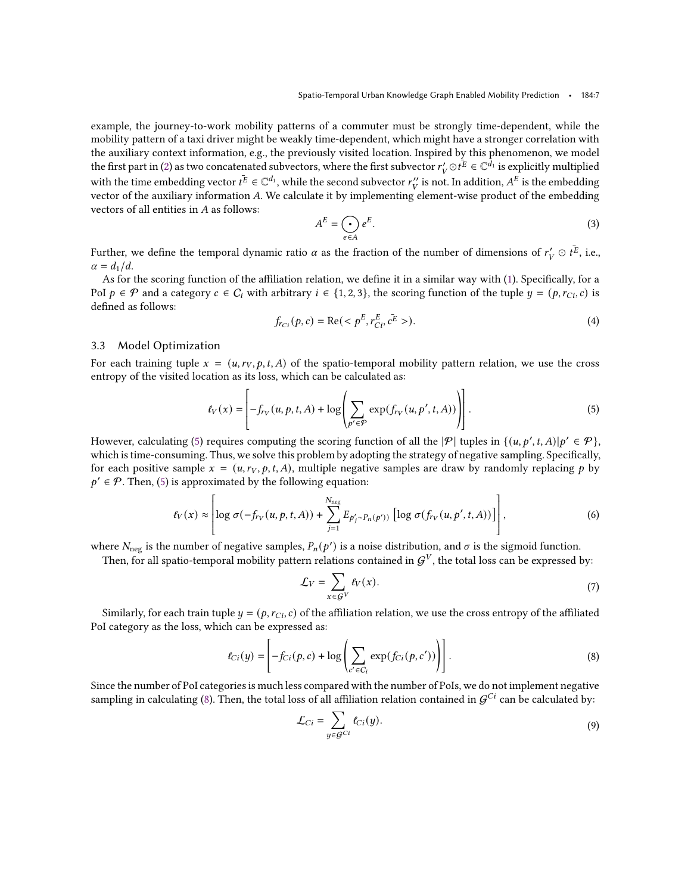example, the journey-to-work mobility patterns of a commuter must be strongly time-dependent, while the mobility pattern of a taxi driver might be weakly time-dependent, which might have a stronger correlation with the auxiliary context information, e.g., the previously visited location. Inspired by this phenomenon, we model the first part in [\(2\)](#page-5-1) as two concatenated subvectors, where the first subvector  $r'_V \odot t^{\overline{E}} \in \mathbb{C}^{\overline{d}_1}$  is explicitly multiplied with the time embedding vector  $t^{\overline{E}}\in\mathbb{C}^{d_1}$ , while the second subvector  $r''_V$  is not. In addition,  $A^E$  is the embedding vector of the auxiliary information  $A$ . We calculate it by implementing element-wise product of the embedding vector of the embedding vectors of all entities in  $A$  as follows:

$$
A^E = \bigodot_{e \in A} e^E. \tag{3}
$$

Further, we define the temporal dynamic ratio  $\alpha$  as the fraction of the number of dimensions of  $r'_V\odot t^{\overline{E}},$  i.e.,  $\alpha = d_1/d$ .

As for the scoring function of the affiliation relation, we define it in a similar way with [\(1\)](#page-5-0). Specifically, for a PoI  $p \in \mathcal{P}$  and a category  $c \in C_i$  with arbitrary  $i \in \{1, 2, 3\}$ , the scoring function of the tuple  $y = (p, r_{Ci}, c)$  is defined as follows:

<span id="page-6-3"></span>
$$
f_{rci}(p, c) = \text{Re}().
$$
 (4)

## 3.3 Model Optimization

For each training tuple  $x = (u, r_V, p, t, A)$  of the spatio-temporal mobility pattern relation, we use the cross entropy of the visited location as its loss, which can be calculated as:

<span id="page-6-0"></span>
$$
\ell_V(x) = \left[ -f_{r_V}(u, p, t, A) + \log \left( \sum_{p' \in \mathcal{P}} \exp(f_{r_V}(u, p', t, A)) \right) \right].
$$
 (5)

However, calculating [\(5\)](#page-6-0) requires computing the scoring function of all the  $|\mathcal{P}|$  tuples in  $\{(u, p', t, A)|p' \in \mathcal{P}\}$ , which is time-consuming. Thus, we solve this problem by adopting the strategy of negative sampling. Specifically, for each positive sample  $x = (u, r_V, p, t, A)$ , multiple negative samples are draw by randomly replacing p by  $p' \in \mathcal{P}$ . Then, [\(5\)](#page-6-0) is approximated by the following equation:

<span id="page-6-2"></span>
$$
\ell_V(x) \approx \left[ \log \sigma(-f_{rv}(u, p, t, A)) + \sum_{j=1}^{N_{\text{neg}}} E_{p'_j \sim P_n(p')}) \left[ \log \sigma(f_{rv}(u, p', t, A)) \right] \right],\tag{6}
$$

where  $N_{\text{neg}}$  is the number of negative samples,  $P_n(p')$  is a noise distribution, and  $\sigma$  is the sigmoid function.

Then, for all spatio-temporal mobility pattern relations contained in  $\mathcal{G}^V$ , the total loss can be expressed by:

$$
\mathcal{L}_V = \sum_{x \in \mathcal{G}^V} \ell_V(x). \tag{7}
$$

Similarly, for each train tuple  $y = (p, r_{Ci}, c)$  of the affiliation relation, we use the cross entropy of the affiliated PoI category as the loss, which can be expressed as:

<span id="page-6-1"></span>
$$
\ell_{Ci}(y) = \left[ -f_{Ci}(p, c) + \log \left( \sum_{c' \in C_i} \exp(f_{Ci}(p, c')) \right) \right].
$$
\n(8)

Since the number of PoI categories is much less compared with the number of PoIs, we do not implement negative sampling in calculating [\(8\)](#page-6-1). Then, the total loss of all affiliation relation contained in  $\mathcal{G}^{Ci}$  can be calculated by:

$$
\mathcal{L}_{Ci} = \sum_{y \in \mathcal{G}^{Ci}} t_{Ci}(y). \tag{9}
$$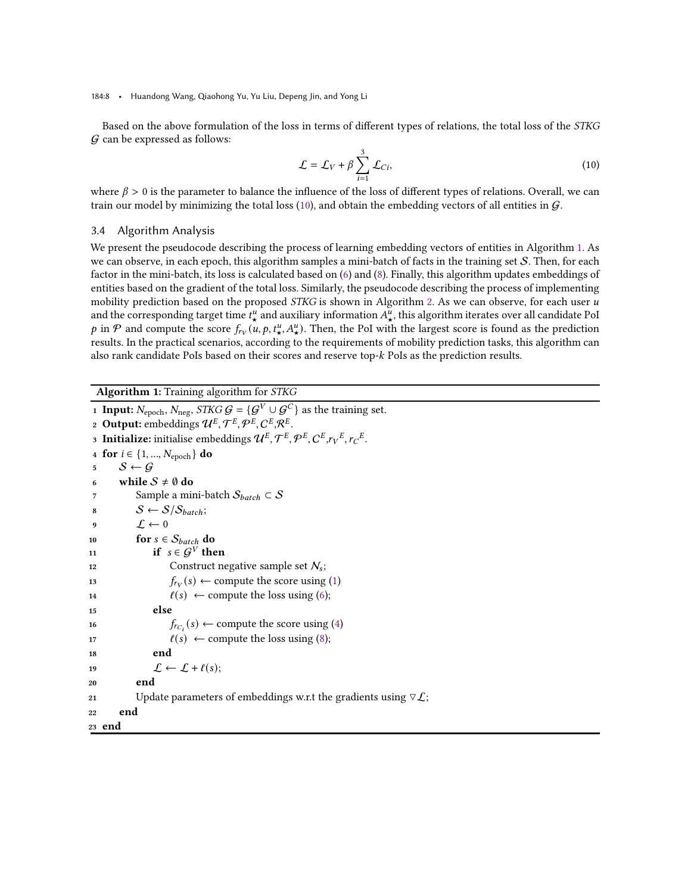184:8 • Huandong Wang, Qiaohong Yu, Yu Liu, Depeng Jin, and Yong Li

Based on the above formulation of the loss in terms of different types of relations, the total loss of the STKG  $G$  can be expressed as follows:

<span id="page-7-0"></span>
$$
\mathcal{L} = \mathcal{L}_V + \beta \sum_{i=1}^{3} \mathcal{L}_{Ci},\tag{10}
$$

where  $\beta > 0$  is the parameter to balance the influence of the loss of different types of relations. Overall, we can train our model by minimizing the total loss [\(10\)](#page-7-0), and obtain the embedding vectors of all entities in  $\mathcal G$ .

# 3.4 Algorithm Analysis

We present the pseudocode describing the process of learning embedding vectors of entities in Algorithm [1.](#page-7-1) As we can observe, in each epoch, this algorithm samples a mini-batch of facts in the training set  $S$ . Then, for each factor in the mini-batch, its loss is calculated based on [\(6\)](#page-6-2) and [\(8\)](#page-6-1). Finally, this algorithm updates embeddings of entities based on the gradient of the total loss. Similarly, the pseudocode describing the process of implementing mobility prediction based on the proposed STKG is shown in Algorithm [2.](#page-8-1) As we can observe, for each user u and the corresponding target time  $t^u_\star$  and auxiliary information  $A^u_\star$ , this algorithm iterates over all candidate PoI p in P and compute the score  $f_{r_V}(u, p, t^u_*, A^u_*)$ . Then, the PoI with the largest score is found as the prediction results. In the practical scenarios, according to the requirements of mobility prediction tasks, this algorithm can also rank candidate PoIs based on their scores and reserve top- $k$  PoIs as the prediction results.

<span id="page-7-1"></span>Algorithm 1: Training algorithm for STKG

```
1 Input: N_{\text{epoch}}, N_{\text{neg}}, STKG \mathcal{G} = \{ \mathcal{G}^V \cup \mathcal{G}^C \} as the training set.
 2 Output: embeddings \mathcal{U}^E, \mathcal{T}^E, \mathcal{P}^E, C^E, \mathcal{R}^E.3 Initialize: initialise embeddings \mathcal{U}^E, \mathcal{T}^E, \mathcal{P}^E, C^E, r_V^E, r_C^E.4 for i \in \{1, ..., N_{\text{epoch}}\} do
 5 S \leftarrow G6 while S \neq \emptyset do
 7 Sample a mini-batch S_{batch} \subset S8 S \leftarrow S / S_{batch};9 \mathcal{L} \leftarrow 010 for s \in S_{batch} do
11 if s \in \mathcal{G}^V then
12 Construct negative sample set N_s;
13 f_{rv}(s) \leftarrow (1)
14 \ell(s) \leftarrow (6);
15 else
16 f_{rc_i}(s) \leftarrow (4)
17 \ell(s) \leftarrow (8);
18 end
19 \mathcal{L} \leftarrow \mathcal{L} + \ell(s);20 end
21 Update parameters of embeddings w.r.t the gradients using \nabla \mathcal{L};
22 end
23 end
```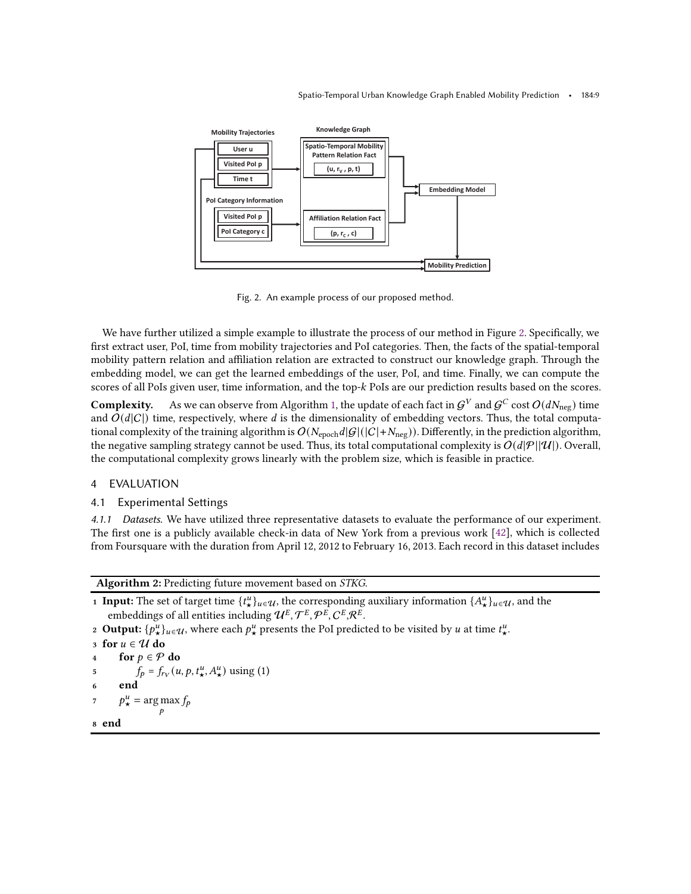#### Spatio-Temporal Urban Knowledge Graph Enabled Mobility Prediction • 184:9

<span id="page-8-2"></span>

Fig. 2. An example process of our proposed method.

We have further utilized a simple example to illustrate the process of our method in Figure [2.](#page-8-2) Specifically, we first extract user, PoI, time from mobility trajectories and PoI categories. Then, the facts of the spatial-temporal mobility pattern relation and affiliation relation are extracted to construct our knowledge graph. Through the embedding model, we can get the learned embeddings of the user, PoI, and time. Finally, we can compute the scores of all PoIs given user, time information, and the top- $k$  PoIs are our prediction results based on the scores.

<code>Complexity. As</code> we can observe from Algorithm [1,](#page-7-1) the update of each fact in  $\mathcal{G}^V$  and  $\mathcal{G}^C$  cost  $O(dN_{\text{neg}})$  time and  $O(d|C|)$  time, respectively, where d is the dimensionality of embedding vectors. Thus, the total computational complexity of the training algorithm is  $O(N_{\text{epoch}}d|\mathcal{G}|(|C| + N_{\text{neg}}))$ . Differently, in the prediction algorithm, the negative sampling strategy cannot be used. Thus, its total computational complexity is  $O(d|\mathcal{P}||\mathcal{U}|)$ . Overall, the computational complexity grows linearly with the problem size, which is feasible in practice.

# <span id="page-8-0"></span>4 EVALUATION

# 4.1 Experimental Settings

4.1.1 Datasets. We have utilized three representative datasets to evaluate the performance of our experiment. The first one is a publicly available check-in data of New York from a previous work [\[42\]](#page-22-9), which is collected from Foursquare with the duration from April 12, 2012 to February 16, 2013. Each record in this dataset includes

<span id="page-8-1"></span>Algorithm 2: Predicting future movement based on STKG.

- **1 Input:** The set of target time  $\{t^u_\star\}_{u \in \mathcal{U}}$ , the corresponding auxiliary information  $\{A^u_\star\}_{u \in \mathcal{U}}$ , and the embeddings of all entities including  $\mathcal{U}^{E},\mathcal{T}^{E},\mathcal{P}^{E},\mathcal{C}^{E},\mathcal{R}^{E}.$
- 2 Output:  $\{p_\star^u\}_{u\in\mathcal{U}}$ , where each  $p_\star^u$  presents the PoI predicted to be visited by  $u$  at time  $t_\star^u$ .

```
3 for u \in \mathcal{U} do
4 for p \in \mathcal{P} do
5 f_p = f_{ry}(u, p, t^u, A^u) using (1)
6 end
p^u_{\star} = \argmax_{p} f_p8 end
```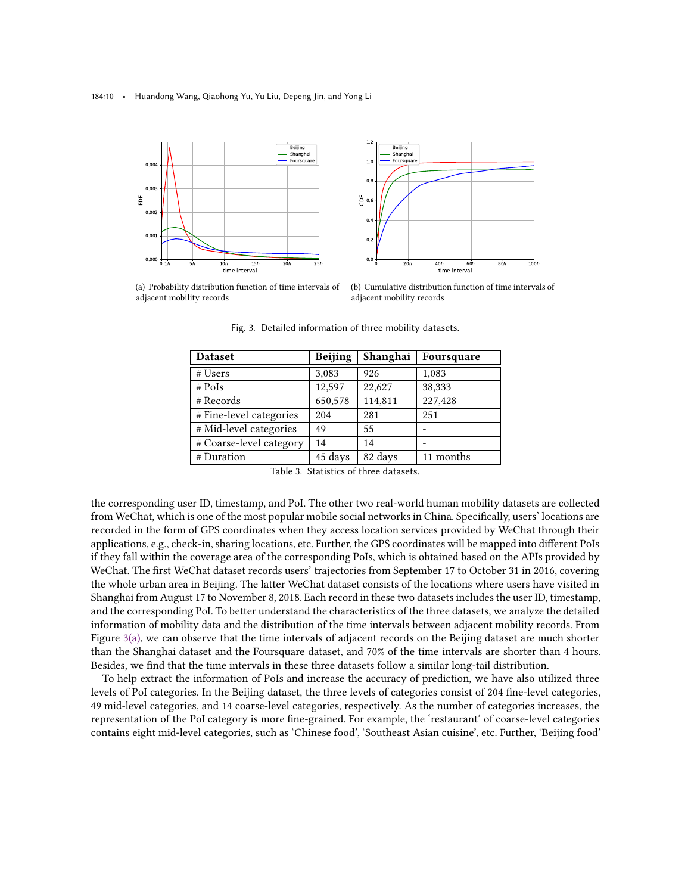<span id="page-9-0"></span>184:10 • Huandong Wang, Qiaohong Yu, Yu Liu, Depeng Jin, and Yong Li





<span id="page-9-1"></span>(a) Probability distribution function of time intervals of adjacent mobility records

(b) Cumulative distribution function of time intervals of adjacent mobility records

Fig. 3. Detailed information of three mobility datasets.

| <b>Dataset</b>          | <b>Beijing</b> | Shanghai | Foursquare |
|-------------------------|----------------|----------|------------|
| # Users                 | 3,083          | 926      | 1,083      |
| $#$ PoIs                | 12,597         | 22,627   | 38,333     |
| # Records               | 650,578        | 114,811  | 227,428    |
| # Fine-level categories | 204            | 281      | 251        |
| # Mid-level categories  | 49             | 55       |            |
| # Coarse-level category | 14             | 14       |            |
| # Duration              | 45 days        | 82 days  | 11 months  |

Table 3. Statistics of three datasets.

the corresponding user ID, timestamp, and PoI. The other two real-world human mobility datasets are collected from WeChat, which is one of the most popular mobile social networks in China. Specifically, users' locations are recorded in the form of GPS coordinates when they access location services provided by WeChat through their applications, e.g., check-in, sharing locations, etc. Further, the GPS coordinates will be mapped into different PoIs if they fall within the coverage area of the corresponding PoIs, which is obtained based on the APIs provided by WeChat. The first WeChat dataset records users' trajectories from September 17 to October 31 in 2016, covering the whole urban area in Beijing. The latter WeChat dataset consists of the locations where users have visited in Shanghai from August 17 to November 8, 2018. Each record in these two datasets includes the user ID, timestamp, and the corresponding PoI. To better understand the characteristics of the three datasets, we analyze the detailed information of mobility data and the distribution of the time intervals between adjacent mobility records. From Figure [3\(a\),](#page-9-0) we can observe that the time intervals of adjacent records on the Beijing dataset are much shorter than the Shanghai dataset and the Foursquare dataset, and 70% of the time intervals are shorter than 4 hours. Besides, we find that the time intervals in these three datasets follow a similar long-tail distribution.

To help extract the information of PoIs and increase the accuracy of prediction, we have also utilized three levels of PoI categories. In the Beijing dataset, the three levels of categories consist of 204 fine-level categories, 49 mid-level categories, and 14 coarse-level categories, respectively. As the number of categories increases, the representation of the PoI category is more fine-grained. For example, the 'restaurant' of coarse-level categories contains eight mid-level categories, such as 'Chinese food', 'Southeast Asian cuisine', etc. Further, 'Beijing food'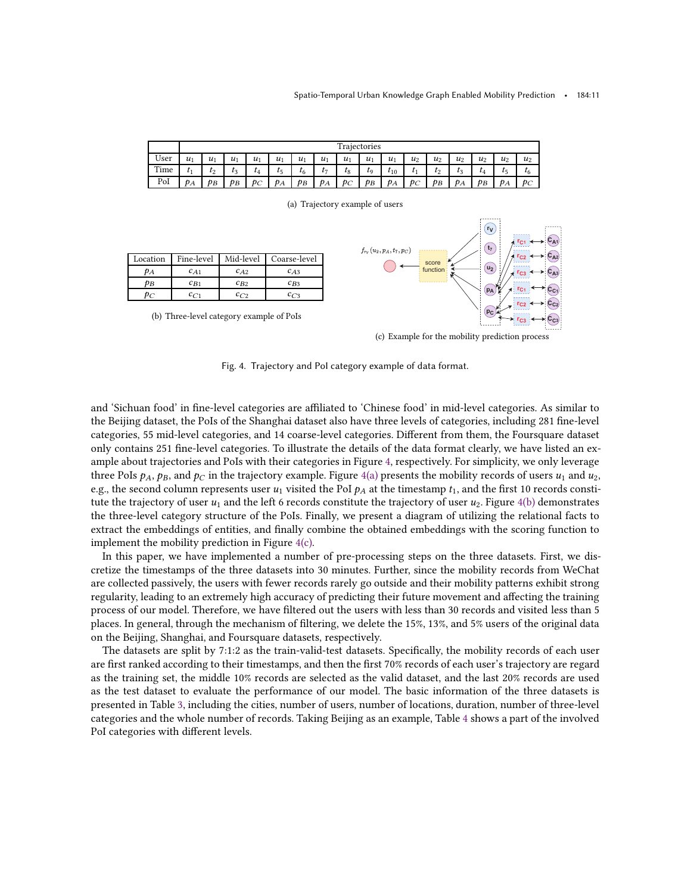<span id="page-10-1"></span><span id="page-10-0"></span>

|      | Trajectories |       |       |       |       |                |       |       |         |          |       |                    |       |                |       |           |
|------|--------------|-------|-------|-------|-------|----------------|-------|-------|---------|----------|-------|--------------------|-------|----------------|-------|-----------|
| User | $u_1$        | $u_1$ | $u_1$ | $u_1$ | $u_1$ | $u_1$          | $u_1$ | $u_1$ | $u_1$   | $u_1$    | $u_2$ | $u_2$              | $u_2$ | u <sub>2</sub> | $u_2$ | $u_2$     |
| Time | T1           | $t_2$ | $t_3$ | L4    | $t_5$ | τ <sub>6</sub> | t7    | $t_8$ | $t_{9}$ | $t_{10}$ |       | $\scriptstyle t_2$ | Tз    | UΔ             |       | $\iota_6$ |
| PoI  | $p_A$        | $p_B$ | PВ    | $p_C$ | $p_A$ | pв             | $p_A$ | $p_C$ | $p_B$   | $p_A$    | $p_C$ | $p_B$              | $p_A$ | ÞВ             | $p_A$ | ÞС        |

<span id="page-10-2"></span>(a) Trajectory example of users **rV CA<sup>1</sup> rC<sup>1</sup> t7**  $f_{rv}(u_2, p_A, t_7, p_C)$ Location Fine-level Mid-level Coarse-level **rC2 CA<sup>2</sup>** score function **u2**  $p_A$   $c_{A1}$   $c_{A2}$   $c_{A3}$ **rC3 CA<sup>3</sup>**  $p_B$   $c_{B1}$   $c_{B2}$   $c_{B3}$ **rC<sup>1</sup> pA CC<sup>1</sup>**  $p_C$   $c_{C1}$   $c_{C2}$   $c_{C3}$ **rC2 CC<sup>2</sup> pC** (b) Three-level category example of PoIs **rC3 CC<sup>3</sup>**

<span id="page-10-3"></span>(c) Example for the mobility prediction process

Fig. 4. Trajectory and PoI category example of data format.

and 'Sichuan food' in fine-level categories are affiliated to 'Chinese food' in mid-level categories. As similar to the Beijing dataset, the PoIs of the Shanghai dataset also have three levels of categories, including 281 fine-level categories, 55 mid-level categories, and 14 coarse-level categories. Different from them, the Foursquare dataset only contains 251 fine-level categories. To illustrate the details of the data format clearly, we have listed an example about trajectories and PoIs with their categories in Figure [4,](#page-10-0) respectively. For simplicity, we only leverage three PoIs  $p_A$ ,  $p_B$ , and  $p_C$  in the trajectory example. Figure [4\(a\)](#page-10-1) presents the mobility records of users  $u_1$  and  $u_2$ , e.g., the second column represents user  $u_1$  visited the PoI  $p_A$  at the timestamp  $t_1$ , and the first 10 records constitute the trajectory of user  $u_1$  and the left 6 records constitute the trajectory of user  $u_2$ . Figure [4\(b\)](#page-10-2) demonstrates the three-level category structure of the PoIs. Finally, we present a diagram of utilizing the relational facts to extract the embeddings of entities, and finally combine the obtained embeddings with the scoring function to implement the mobility prediction in Figure [4\(c\).](#page-10-3)

In this paper, we have implemented a number of pre-processing steps on the three datasets. First, we discretize the timestamps of the three datasets into 30 minutes. Further, since the mobility records from WeChat are collected passively, the users with fewer records rarely go outside and their mobility patterns exhibit strong regularity, leading to an extremely high accuracy of predicting their future movement and affecting the training process of our model. Therefore, we have filtered out the users with less than 30 records and visited less than 5 places. In general, through the mechanism of filtering, we delete the 15%, 13%, and 5% users of the original data on the Beijing, Shanghai, and Foursquare datasets, respectively.

The datasets are split by 7:1:2 as the train-valid-test datasets. Specifically, the mobility records of each user are first ranked according to their timestamps, and then the first 70% records of each user's trajectory are regard as the training set, the middle 10% records are selected as the valid dataset, and the last 20% records are used as the test dataset to evaluate the performance of our model. The basic information of the three datasets is presented in Table [3,](#page-9-1) including the cities, number of users, number of locations, duration, number of three-level categories and the whole number of records. Taking Beijing as an example, Table [4](#page-11-0) shows a part of the involved PoI categories with different levels.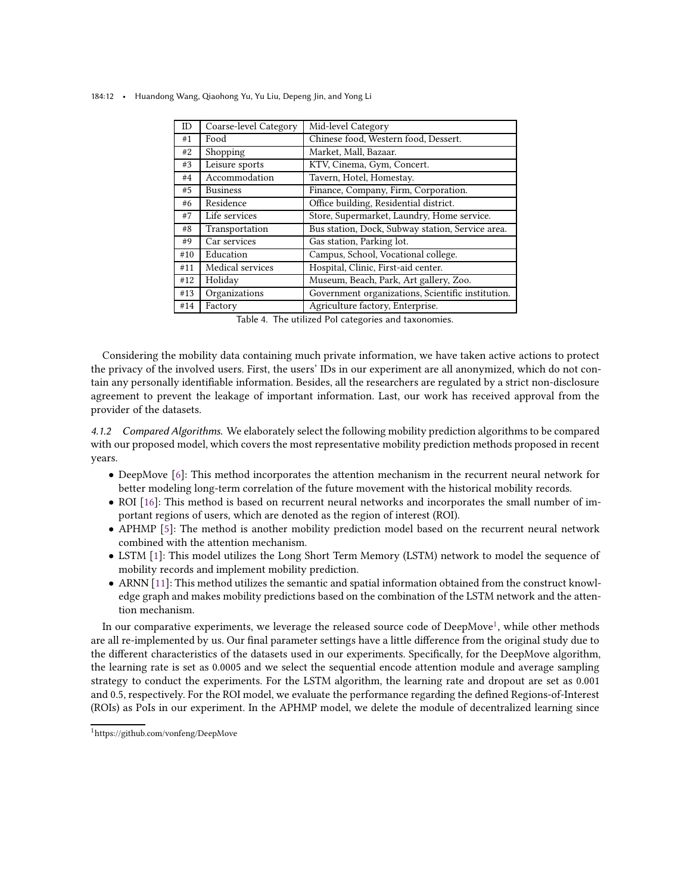| ID  | Coarse-level Category | Mid-level Category                                |
|-----|-----------------------|---------------------------------------------------|
| #1  | Food                  | Chinese food, Western food, Dessert.              |
| #2  | Shopping              | Market, Mall, Bazaar.                             |
| #3  | Leisure sports        | KTV, Cinema, Gym, Concert.                        |
| #4  | Accommodation         | Tavern, Hotel, Homestay.                          |
| #5  | <b>Business</b>       | Finance, Company, Firm, Corporation.              |
| #6  | Residence             | Office building, Residential district.            |
| #7  | Life services         | Store, Supermarket, Laundry, Home service.        |
| #8  | Transportation        | Bus station, Dock, Subway station, Service area.  |
| #9  | Car services          | Gas station, Parking lot.                         |
| #10 | Education             | Campus, School, Vocational college.               |
| #11 | Medical services      | Hospital, Clinic, First-aid center.               |
| #12 | Holiday               | Museum, Beach, Park, Art gallery, Zoo.            |
| #13 | Organizations         | Government organizations, Scientific institution. |
| #14 | Factory               | Agriculture factory, Enterprise.                  |

<span id="page-11-0"></span>184:12 • Huandong Wang, Qiaohong Yu, Yu Liu, Depeng Jin, and Yong Li

Table 4. The utilized PoI categories and taxonomies.

Considering the mobility data containing much private information, we have taken active actions to protect the privacy of the involved users. First, the users' IDs in our experiment are all anonymized, which do not contain any personally identifiable information. Besides, all the researchers are regulated by a strict non-disclosure agreement to prevent the leakage of important information. Last, our work has received approval from the provider of the datasets.

4.1.2 Compared Algorithms. We elaborately select the following mobility prediction algorithms to be compared with our proposed model, which covers the most representative mobility prediction methods proposed in recent years.

- DeepMove [\[6](#page-21-7)]: This method incorporates the attention mechanism in the recurrent neural network for better modeling long-term correlation of the future movement with the historical mobility records.
- ROI [\[16\]](#page-21-8): This method is based on recurrent neural networks and incorporates the small number of important regions of users, which are denoted as the region of interest (ROI).
- APHMP [\[5](#page-21-9)]: The method is another mobility prediction model based on the recurrent neural network combined with the attention mechanism.
- LSTM [\[1\]](#page-20-1): This model utilizes the Long Short Term Memory (LSTM) network to model the sequence of mobility records and implement mobility prediction.
- ARNN [\[11\]](#page-21-10): This method utilizes the semantic and spatial information obtained from the construct knowledge graph and makes mobility predictions based on the combination of the LSTM network and the attention mechanism.

In our comparative experiments, we leverage the released source code of DeepMove<sup>[1](#page-11-1)</sup>, while other methods are all re-implemented by us. Our final parameter settings have a little difference from the original study due to the different characteristics of the datasets used in our experiments. Specifically, for the DeepMove algorithm, the learning rate is set as 0.0005 and we select the sequential encode attention module and average sampling strategy to conduct the experiments. For the LSTM algorithm, the learning rate and dropout are set as 0.001 and 0.5, respectively. For the ROI model, we evaluate the performance regarding the defined Regions-of-Interest (ROIs) as PoIs in our experiment. In the APHMP model, we delete the module of decentralized learning since

<span id="page-11-1"></span><sup>1</sup>https://github.com/vonfeng/DeepMove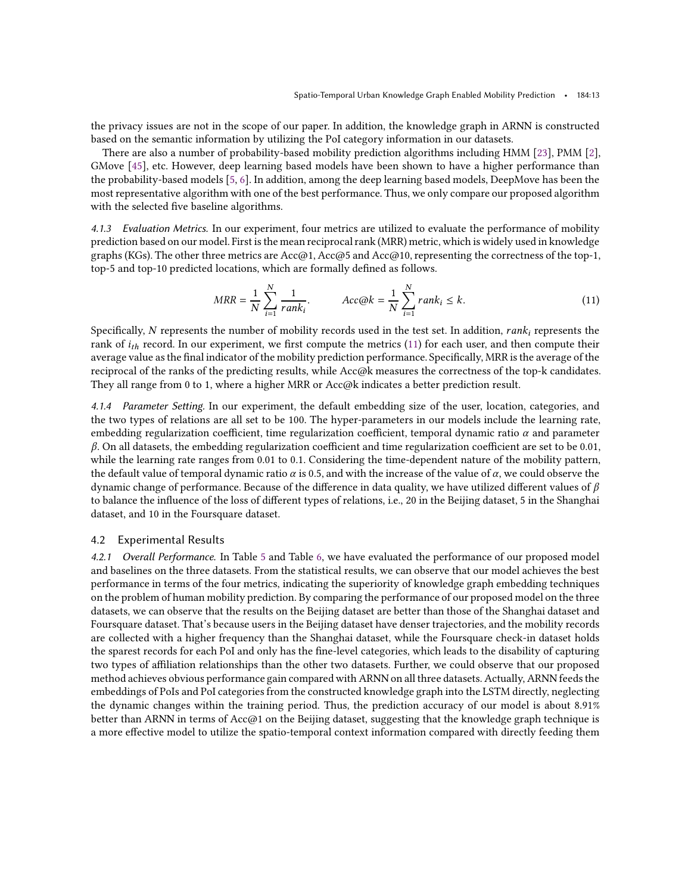the privacy issues are not in the scope of our paper. In addition, the knowledge graph in ARNN is constructed based on the semantic information by utilizing the PoI category information in our datasets.

There are also a number of probability-based mobility prediction algorithms including HMM [\[23](#page-21-11)], PMM [\[2\]](#page-20-2), GMove [\[45](#page-22-10)], etc. However, deep learning based models have been shown to have a higher performance than the probability-based models [\[5](#page-21-9), [6](#page-21-7)]. In addition, among the deep learning based models, DeepMove has been the most representative algorithm with one of the best performance. Thus, we only compare our proposed algorithm with the selected five baseline algorithms.

4.1.3 Evaluation Metrics. In our experiment, four metrics are utilized to evaluate the performance of mobility prediction based on our model. First is the mean reciprocal rank (MRR) metric, which is widely used in knowledge graphs (KGs). The other three metrics are Acc@1, Acc@5 and Acc@10, representing the correctness of the top-1, top-5 and top-10 predicted locations, which are formally defined as follows.

<span id="page-12-0"></span>
$$
MRR = \frac{1}{N} \sum_{i=1}^{N} \frac{1}{rank_i}.
$$
 
$$
Acc@k = \frac{1}{N} \sum_{i=1}^{N} rank_i \le k.
$$
 (11)

Specifically, N represents the number of mobility records used in the test set. In addition,  $rank_i$  represents the rank of  $i_{th}$  record. In our experiment, we first compute the metrics [\(11\)](#page-12-0) for each user, and then compute their average value as the final indicator of the mobility prediction performance. Specifically, MRR is the average of the reciprocal of the ranks of the predicting results, while Acc@k measures the correctness of the top-k candidates. They all range from 0 to 1, where a higher MRR or Acc@k indicates a better prediction result.

4.1.4 Parameter Setting. In our experiment, the default embedding size of the user, location, categories, and the two types of relations are all set to be 100. The hyper-parameters in our models include the learning rate, embedding regularization coefficient, time regularization coefficient, temporal dynamic ratio  $\alpha$  and parameter  $\beta$ . On all datasets, the embedding regularization coefficient and time regularization coefficient are set to be 0.01, while the learning rate ranges from 0.01 to 0.1. Considering the time-dependent nature of the mobility pattern, the default value of temporal dynamic ratio  $\alpha$  is 0.5, and with the increase of the value of  $\alpha$ , we could observe the dynamic change of performance. Because of the difference in data quality, we have utilized different values of  $\beta$ to balance the influence of the loss of different types of relations, i.e., 20 in the Beijing dataset, 5 in the Shanghai dataset, and 10 in the Foursquare dataset.

# 4.2 Experimental Results

4.2.1 Overall Performance. In Table [5](#page-13-0) and Table [6,](#page-13-1) we have evaluated the performance of our proposed model and baselines on the three datasets. From the statistical results, we can observe that our model achieves the best performance in terms of the four metrics, indicating the superiority of knowledge graph embedding techniques on the problem of human mobility prediction. By comparing the performance of our proposed model on the three datasets, we can observe that the results on the Beijing dataset are better than those of the Shanghai dataset and Foursquare dataset. That's because users in the Beijing dataset have denser trajectories, and the mobility records are collected with a higher frequency than the Shanghai dataset, while the Foursquare check-in dataset holds the sparest records for each PoI and only has the fine-level categories, which leads to the disability of capturing two types of affiliation relationships than the other two datasets. Further, we could observe that our proposed method achieves obvious performance gain compared with ARNN on all three datasets. Actually, ARNN feeds the embeddings of PoIs and PoI categories from the constructed knowledge graph into the LSTM directly, neglecting the dynamic changes within the training period. Thus, the prediction accuracy of our model is about 8.91% better than ARNN in terms of Acc@1 on the Beijing dataset, suggesting that the knowledge graph technique is a more effective model to utilize the spatio-temporal context information compared with directly feeding them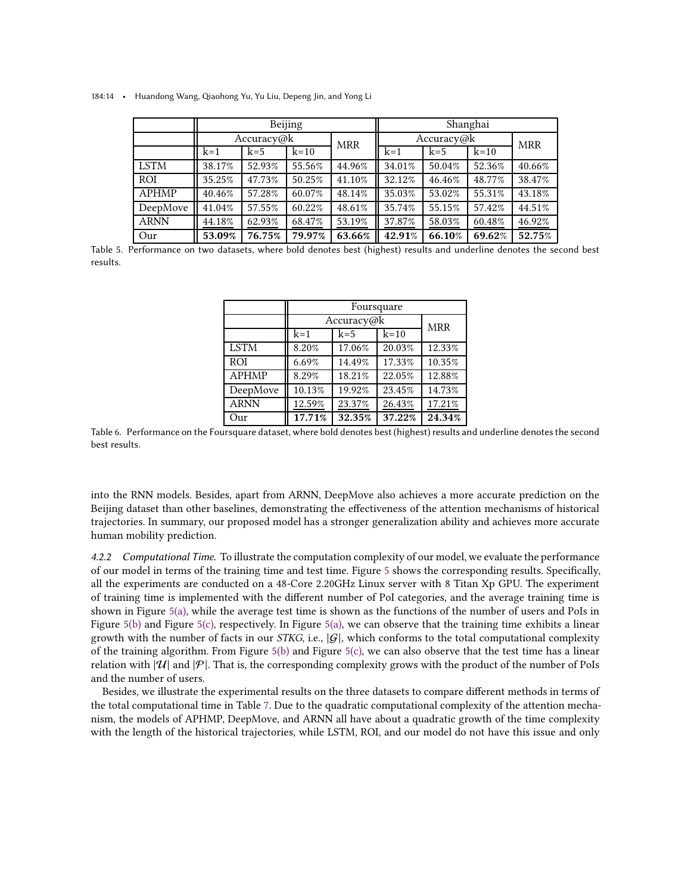<span id="page-13-0"></span>184:14 • Huandong Wang, Qiaohong Yu, Yu Liu, Depeng Jin, and Yong Li

|             |            |        | Beijing |            | Shanghai |            |            |        |  |
|-------------|------------|--------|---------|------------|----------|------------|------------|--------|--|
|             | Accuracy@k |        |         | <b>MRR</b> |          | Accuracy@k | <b>MRR</b> |        |  |
|             | $k=1$      | $k=5$  | $k=10$  |            | $k=1$    | $k=5$      | $k=10$     |        |  |
| <b>LSTM</b> | 38.17%     | 52.93% | 55.56%  | 44.96%     | 34.01%   | 50.04%     | 52.36%     | 40.66% |  |
| ROI         | 35.25%     | 47.73% | 50.25%  | 41.10%     | 32.12%   | 46.46%     | 48.77%     | 38.47% |  |
| APHMP       | 40.46%     | 57.28% | 60.07%  | 48.14%     | 35.03%   | 53.02%     | 55.31%     | 43.18% |  |
| DeepMove    | 41.04%     | 57.55% | 60.22%  | 48.61%     | 35.74%   | 55.15%     | 57.42%     | 44.51% |  |
| <b>ARNN</b> | 44.18%     | 62.93% | 68.47%  | 53.19%     | 37.87%   | 58.03%     | 60.48%     | 46.92% |  |
| Our         | 53.09%     | 76.75% | 79.97%  | 63.66%     | 42.91%   | 66.10%     | 69.62%     | 52.75% |  |

<span id="page-13-1"></span>Table 5. Performance on two datasets, where bold denotes best (highest) results and underline denotes the second best results.

|              | Foursquare |            |        |            |  |  |  |  |  |  |
|--------------|------------|------------|--------|------------|--|--|--|--|--|--|
|              |            | Accuracy@k |        | <b>MRR</b> |  |  |  |  |  |  |
|              | $k=1$      |            |        |            |  |  |  |  |  |  |
| <b>LSTM</b>  | 8.20%      | 17.06%     | 20.03% | 12.33%     |  |  |  |  |  |  |
| <b>ROI</b>   | 6.69%      | 14.49%     | 17.33% | 10.35%     |  |  |  |  |  |  |
| <b>APHMP</b> | 8.29%      | 18.21%     | 22.05% | 12.88%     |  |  |  |  |  |  |
| DeepMove     | 10.13%     | 19.92%     | 23.45% | 14.73%     |  |  |  |  |  |  |
| <b>ARNN</b>  | 12.59%     | 17.21%     |        |            |  |  |  |  |  |  |
| Our          | 17.71%     | 32.35%     | 37.22% | 24.34%     |  |  |  |  |  |  |

Table 6. Performance on the Foursquare dataset, where bold denotes best (highest) results and underline denotes the second best results.

into the RNN models. Besides, apart from ARNN, DeepMove also achieves a more accurate prediction on the Beijing dataset than other baselines, demonstrating the effectiveness of the attention mechanisms of historical trajectories. In summary, our proposed model has a stronger generalization ability and achieves more accurate human mobility prediction.

4.2.2 Computational Time. To illustrate the computation complexity of our model, we evaluate the performance of our model in terms of the training time and test time. Figure [5](#page-14-0) shows the corresponding results. Specifically, all the experiments are conducted on a 48-Core 2.20GHz Linux server with 8 Titan Xp GPU. The experiment of training time is implemented with the different number of PoI categories, and the average training time is shown in Figure  $5(a)$ , while the average test time is shown as the functions of the number of users and PoIs in Figure [5\(b\)](#page-14-2) and Figure [5\(c\),](#page-14-3) respectively. In Figure [5\(a\),](#page-14-1) we can observe that the training time exhibits a linear growth with the number of facts in our STKG, i.e.,  $|G|$ , which conforms to the total computational complexity of the training algorithm. From Figure  $5(b)$  and Figure  $5(c)$ , we can also observe that the test time has a linear relation with  $|\mathcal{U}|$  and  $|\mathcal{P}|$ . That is, the corresponding complexity grows with the product of the number of PoIs and the number of users.

Besides, we illustrate the experimental results on the three datasets to compare different methods in terms of the total computational time in Table [7.](#page-14-4) Due to the quadratic computational complexity of the attention mechanism, the models of APHMP, DeepMove, and ARNN all have about a quadratic growth of the time complexity with the length of the historical trajectories, while LSTM, ROI, and our model do not have this issue and only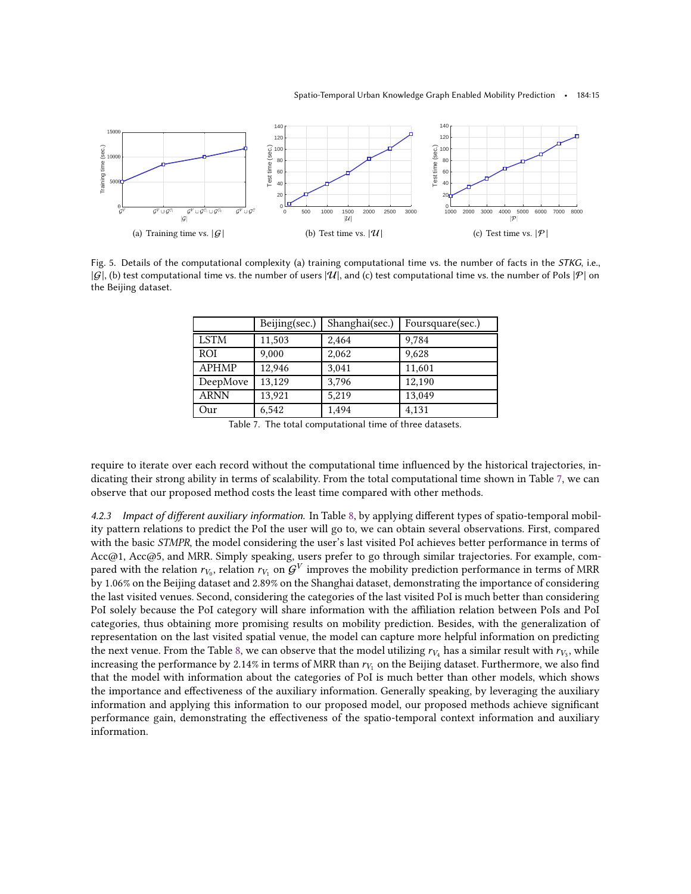<span id="page-14-1"></span><span id="page-14-0"></span>

<span id="page-14-4"></span>Fig. 5. Details of the computational complexity (a) training computational time vs. the number of facts in the STKG, i.e.,  $|G|$ , (b) test computational time vs. the number of users  $|U|$ , and (c) test computational time vs. the number of PoIs  $|P|$  on the Beijing dataset.

<span id="page-14-3"></span><span id="page-14-2"></span>

|              | Beijing(sec.) | Shanghai(sec.) | Foursquare(sec.) |
|--------------|---------------|----------------|------------------|
| <b>LSTM</b>  | 11,503        | 2,464          | 9,784            |
| <b>ROI</b>   | 9,000         | 2,062          | 9,628            |
| <b>APHMP</b> | 12,946        | 3,041          | 11,601           |
| DeepMove     | 13,129        | 3,796          | 12,190           |
| <b>ARNN</b>  | 13,921        | 5,219          | 13,049           |
| Our          | 6,542         | 1,494          | 4,131            |

Table 7. The total computational time of three datasets.

require to iterate over each record without the computational time influenced by the historical trajectories, indicating their strong ability in terms of scalability. From the total computational time shown in Table [7,](#page-14-4) we can observe that our proposed method costs the least time compared with other methods.

4.2.3 Impact of different auxiliary information. In Table [8,](#page-15-0) by applying different types of spatio-temporal mobility pattern relations to predict the PoI the user will go to, we can obtain several observations. First, compared with the basic *STMPR*, the model considering the user's last visited PoI achieves better performance in terms of Acc@1, Acc@5, and MRR. Simply speaking, users prefer to go through similar trajectories. For example, compared with the relation  $r_{V_0}$ , relation  $r_{V_1}$  on  $\mathcal{G}^V$  improves the mobility prediction performance in terms of MRR by 1.06% on the Beijing dataset and 2.89% on the Shanghai dataset, demonstrating the importance of considering the last visited venues. Second, considering the categories of the last visited PoI is much better than considering PoI solely because the PoI category will share information with the affiliation relation between PoIs and PoI categories, thus obtaining more promising results on mobility prediction. Besides, with the generalization of representation on the last visited spatial venue, the model can capture more helpful information on predicting the next venue. From the Table [8,](#page-15-0) we can observe that the model utilizing  $r_{V_4}$  has a similar result with  $r_{V_3}$ , while increasing the performance by 2.14% in terms of MRR than  $r_{V_1}$  on the Beijing dataset. Furthermore, we also find that the model with information about the categories of PoI is much better than other models, which shows the importance and effectiveness of the auxiliary information. Generally speaking, by leveraging the auxiliary information and applying this information to our proposed model, our proposed methods achieve significant performance gain, demonstrating the effectiveness of the spatio-temporal context information and auxiliary information.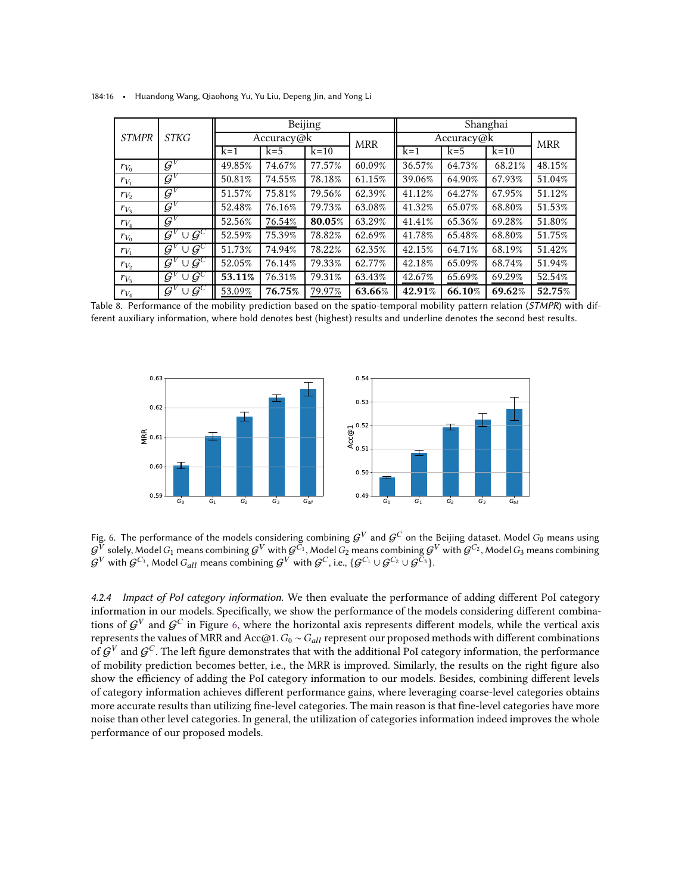|              |                                     |        |            | Beijing |            | Shanghai   |            |        |        |
|--------------|-------------------------------------|--------|------------|---------|------------|------------|------------|--------|--------|
| <b>STMPR</b> | <b>STKG</b>                         |        | Accuracy@k |         | <b>MRR</b> | Accuracy@k | <b>MRR</b> |        |        |
|              |                                     | $k=1$  | $k=5$      | $k=10$  |            | $k=1$      | $k=5$      | $k=10$ |        |
| $r_{V_0}$    | $\mathcal{G}^V$                     | 49.85% | 74.67%     | 77.57%  | 60.09%     | 36.57%     | 64.73%     | 68.21% | 48.15% |
| $r_{V_1}$    | $\mathcal{G}^V$                     | 50.81% | 74.55%     | 78.18%  | 61.15%     | 39.06%     | 64.90%     | 67.93% | 51.04% |
| $r_{V_2}$    | $\mathcal{G}^V$                     | 51.57% | 75.81%     | 79.56%  | 62.39%     | 41.12%     | 64.27%     | 67.95% | 51.12% |
| $r_{V_3}$    | $\mathcal{G}^V$                     | 52.48% | 76.16%     | 79.73%  | 63.08%     | 41.32%     | 65.07%     | 68.80% | 51.53% |
| $r_{V_4}$    | $\mathcal{G}^V$                     | 52.56% | 76.54%     | 80.05%  | 63.29%     | 41.41%     | 65.36%     | 69.28% | 51.80% |
| $r_{V_0}$    | $\cup \bar{\mathcal{G}}^C$<br>$G^V$ | 52.59% | 75.39%     | 78.82%  | 62.69%     | 41.78%     | 65.48%     | 68.80% | 51.75% |
| $r_{V_1}$    | $\cup G^C$<br>$G^V$                 | 51.73% | 74.94%     | 78.22%  | 62.35%     | 42.15%     | 64.71%     | 68.19% | 51.42% |
| $r_{V_2}$    | $\cup G^C$<br>$G^V$                 | 52.05% | 76.14%     | 79.33%  | 62.77%     | 42.18%     | 65.09%     | 68.74% | 51.94% |
| $r_{V_3}$    | $\cup \mathcal{G}^C$<br>$G^V$       | 53.11% | 76.31%     | 79.31%  | 63.43%     | 42.67%     | 65.69%     | 69.29% | 52.54% |
| $r_{V_4}$    | $\cup \mathcal{G}^C$<br>$G^V$       | 53.09% | 76.75%     | 79.97%  | 63.66%     | 42.91%     | 66.10%     | 69.62% | 52.75% |

<span id="page-15-0"></span>184:16 • Huandong Wang, Qiaohong Yu, Yu Liu, Depeng Jin, and Yong Li

<span id="page-15-1"></span>Table 8. Performance of the mobility prediction based on the spatio-temporal mobility pattern relation (STMPR) with different auxiliary information, where bold denotes best (highest) results and underline denotes the second best results.



Fig. 6. The performance of the models considering combining  ${\cal G}^V$  and  ${\cal G}^C$  on the Beijing dataset. Model  $G_0$  means using  $G^V$  solely, Model  $G_1$  means combining  $G^V$  with  $G^{C_1}$ , Model  $G_2$  means combining  $G^V$  with  $G^{C_2}$ , Model  $G_3$  means combining  $\mathcal{G}^V$  with  $\mathcal{G}^{C_3},$  Model  $G_{all}$  means combining  $\mathcal{G}^V$  with  $\mathcal{G}^C$ , i.e.,  $\{\mathcal{G}^{C_1}\cup\mathcal{G}^{C_2}\cup\mathcal{G}^{C_3}\}$ .

4.2.4 Impact of PoI category information. We then evaluate the performance of adding different PoI category information in our models. Specifically, we show the performance of the models considering different combinations of  ${\cal G}^V$  and  ${\cal G}^C$  in Figure [6,](#page-15-1) where the horizontal axis represents different models, while the vertical axis represents the values of MRR and Acc@1.  $G_0 \sim G_{all}$  represent our proposed methods with different combinations of  $\mathcal{G}^V$  and  $\mathcal{G}^C$ . The left figure demonstrates that with the additional PoI category information, the performance of mobility prediction becomes better, i.e., the MRR is improved. Similarly, the results on the right figure also show the efficiency of adding the PoI category information to our models. Besides, combining different levels of category information achieves different performance gains, where leveraging coarse-level categories obtains more accurate results than utilizing fine-level categories. The main reason is that fine-level categories have more noise than other level categories. In general, the utilization of categories information indeed improves the whole performance of our proposed models.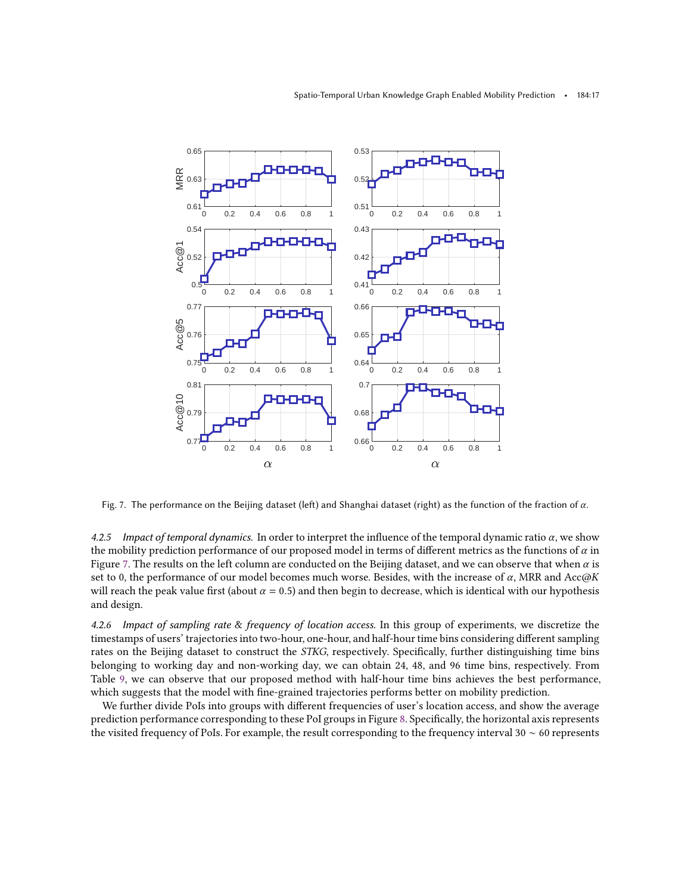<span id="page-16-0"></span>

Fig. 7. The performance on the Beijing dataset (left) and Shanghai dataset (right) as the function of the fraction of  $\alpha$ .

4.2.5 Impact of temporal dynamics. In order to interpret the influence of the temporal dynamic ratio  $\alpha$ , we show the mobility prediction performance of our proposed model in terms of different metrics as the functions of  $\alpha$  in Figure [7.](#page-16-0) The results on the left column are conducted on the Beijing dataset, and we can observe that when  $\alpha$  is set to 0, the performance of our model becomes much worse. Besides, with the increase of  $\alpha$ , MRR and Acc $\omega K$ will reach the peak value first (about  $\alpha = 0.5$ ) and then begin to decrease, which is identical with our hypothesis and design.

4.2.6 Impact of sampling rate & frequency of location access. In this group of experiments, we discretize the timestamps of users' trajectories into two-hour, one-hour, and half-hour time bins considering different sampling rates on the Beijing dataset to construct the STKG, respectively. Specifically, further distinguishing time bins belonging to working day and non-working day, we can obtain 24, 48, and 96 time bins, respectively. From Table [9,](#page-17-1) we can observe that our proposed method with half-hour time bins achieves the best performance, which suggests that the model with fine-grained trajectories performs better on mobility prediction.

We further divide PoIs into groups with different frequencies of user's location access, and show the average prediction performance corresponding to these PoI groups in Figure [8.](#page-18-0) Specifically, the horizontal axis represents the visited frequency of PoIs. For example, the result corresponding to the frequency interval 30 ∼ 60 represents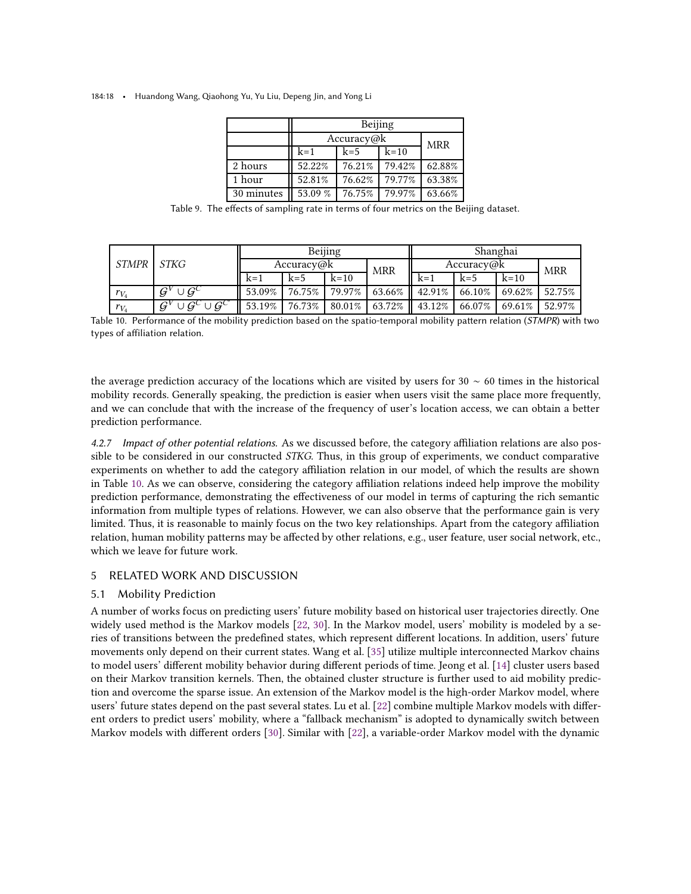<span id="page-17-1"></span>184:18 • Huandong Wang, Qiaohong Yu, Yu Liu, Depeng Jin, and Yong Li

|            | Beijing    |            |        |        |  |  |  |  |
|------------|------------|------------|--------|--------|--|--|--|--|
|            | Accuracy@k | <b>MRR</b> |        |        |  |  |  |  |
|            | $k=1$      |            |        |        |  |  |  |  |
| 2 hours    | 52.22%     | 76.21%     | 79.42% | 62.88% |  |  |  |  |
| 1 hour     | 52.81%     | 76.62%     | 79.77% | 63.38% |  |  |  |  |
| 30 minutes | 53.09 %    | 76.75%     | 79.97% | 63.66% |  |  |  |  |

Table 9. The effects of sampling rate in terms of four metrics on the Beijing dataset.

<span id="page-17-2"></span>

| <b>STMPR</b> |                                                                          | Beijing    |               |           |                    | Shanghai   |        |           |            |
|--------------|--------------------------------------------------------------------------|------------|---------------|-----------|--------------------|------------|--------|-----------|------------|
|              | STKG                                                                     | Accuracy@k |               |           | <b>MRR</b>         | Accuracy@k |        |           | <b>MRR</b> |
|              |                                                                          | $k=1$      | $k=5$         | $k=10$    |                    | $k=1$      | $k=5$  | $k=10$    |            |
| $r_{V_4}$    | $\cup G^C$<br>$\mathcal{G}^{\nu}$                                        | 53.09%     | 76.75%        | 79.97%    | 63.66% $\parallel$ | 42.91%     | 66.10% | $69.62\%$ | 52.75%     |
| $r_{V_4}$    | $\overline{\cup \mathcal{G}^C \cup \mathcal{G}^{C'}}$<br>$\mathcal{G}^V$ |            | 53.19% 76.73% | $80.01\%$ | $63.72\%$          | 43.12%     | 66.07% | $69.61\%$ | 52.97%     |

Table 10. Performance of the mobility prediction based on the spatio-temporal mobility pattern relation (STMPR) with two types of affiliation relation.

the average prediction accuracy of the locations which are visited by users for 30  $\sim$  60 times in the historical mobility records. Generally speaking, the prediction is easier when users visit the same place more frequently, and we can conclude that with the increase of the frequency of user's location access, we can obtain a better prediction performance.

4.2.7 Impact of other potential relations. As we discussed before, the category affiliation relations are also possible to be considered in our constructed *STKG*. Thus, in this group of experiments, we conduct comparative experiments on whether to add the category affiliation relation in our model, of which the results are shown in Table [10.](#page-17-2) As we can observe, considering the category affiliation relations indeed help improve the mobility prediction performance, demonstrating the effectiveness of our model in terms of capturing the rich semantic information from multiple types of relations. However, we can also observe that the performance gain is very limited. Thus, it is reasonable to mainly focus on the two key relationships. Apart from the category affiliation relation, human mobility patterns may be affected by other relations, e.g., user feature, user social network, etc., which we leave for future work.

# <span id="page-17-0"></span>5 RELATED WORK AND DISCUSSION

# 5.1 Mobility Prediction

A number of works focus on predicting users' future mobility based on historical user trajectories directly. One widely used method is the Markov models [\[22,](#page-21-12) [30\]](#page-21-13). In the Markov model, users' mobility is modeled by a series of transitions between the predefined states, which represent different locations. In addition, users' future movements only depend on their current states. Wang et al. [\[35](#page-22-11)] utilize multiple interconnected Markov chains to model users' different mobility behavior during different periods of time. Jeong et al. [\[14](#page-21-14)] cluster users based on their Markov transition kernels. Then, the obtained cluster structure is further used to aid mobility prediction and overcome the sparse issue. An extension of the Markov model is the high-order Markov model, where users' future states depend on the past several states. Lu et al. [\[22](#page-21-12)] combine multiple Markov models with different orders to predict users' mobility, where a "fallback mechanism" is adopted to dynamically switch between Markov models with different orders [\[30\]](#page-21-13). Similar with [\[22](#page-21-12)], a variable-order Markov model with the dynamic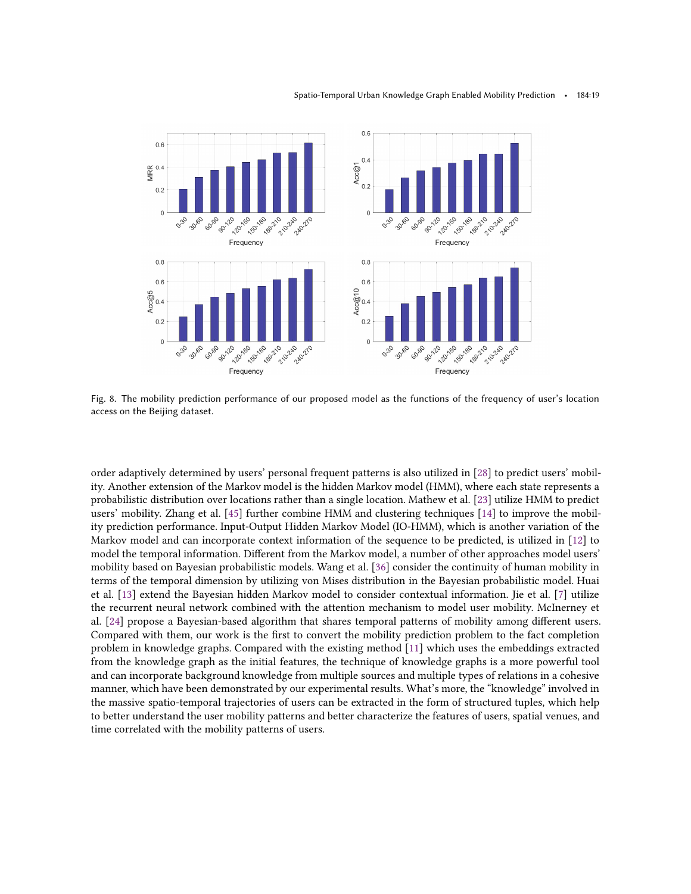<span id="page-18-0"></span>

Fig. 8. The mobility prediction performance of our proposed model as the functions of the frequency of user's location access on the Beijing dataset.

order adaptively determined by users' personal frequent patterns is also utilized in [\[28](#page-21-15)] to predict users' mobility. Another extension of the Markov model is the hidden Markov model (HMM), where each state represents a probabilistic distribution over locations rather than a single location. Mathew et al. [\[23](#page-21-11)] utilize HMM to predict users' mobility. Zhang et al. [\[45\]](#page-22-10) further combine HMM and clustering techniques [\[14](#page-21-14)] to improve the mobility prediction performance. Input-Output Hidden Markov Model (IO-HMM), which is another variation of the Markov model and can incorporate context information of the sequence to be predicted, is utilized in [\[12\]](#page-21-16) to model the temporal information. Different from the Markov model, a number of other approaches model users' mobility based on Bayesian probabilistic models. Wang et al. [\[36\]](#page-22-12) consider the continuity of human mobility in terms of the temporal dimension by utilizing von Mises distribution in the Bayesian probabilistic model. Huai et al. [\[13](#page-21-17)] extend the Bayesian hidden Markov model to consider contextual information. Jie et al. [\[7](#page-21-18)] utilize the recurrent neural network combined with the attention mechanism to model user mobility. McInerney et al. [\[24](#page-21-19)] propose a Bayesian-based algorithm that shares temporal patterns of mobility among different users. Compared with them, our work is the first to convert the mobility prediction problem to the fact completion problem in knowledge graphs. Compared with the existing method [\[11\]](#page-21-10) which uses the embeddings extracted from the knowledge graph as the initial features, the technique of knowledge graphs is a more powerful tool and can incorporate background knowledge from multiple sources and multiple types of relations in a cohesive manner, which have been demonstrated by our experimental results. What's more, the "knowledge" involved in the massive spatio-temporal trajectories of users can be extracted in the form of structured tuples, which help to better understand the user mobility patterns and better characterize the features of users, spatial venues, and time correlated with the mobility patterns of users.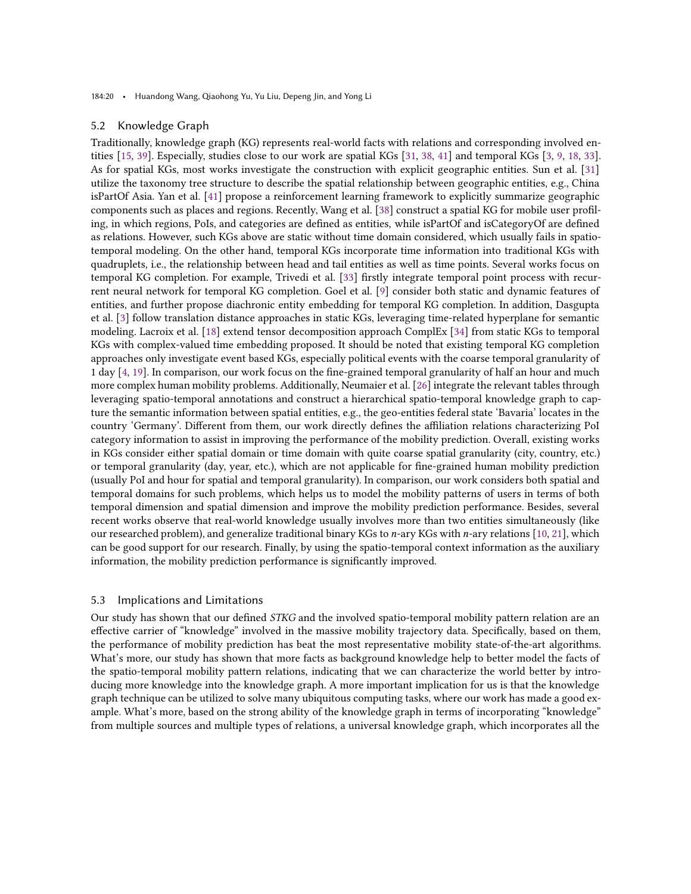184:20 • Huandong Wang, Qiaohong Yu, Yu Liu, Depeng Jin, and Yong Li

## 5.2 Knowledge Graph

Traditionally, knowledge graph (KG) represents real-world facts with relations and corresponding involved entities [\[15,](#page-21-20) [39\]](#page-22-13). Especially, studies close to our work are spatial KGs [\[31,](#page-22-14) [38,](#page-22-4) [41](#page-22-15)] and temporal KGs [\[3,](#page-20-3) [9](#page-21-21), [18,](#page-21-6) [33](#page-22-16)]. As for spatial KGs, most works investigate the construction with explicit geographic entities. Sun et al. [\[31\]](#page-22-14) utilize the taxonomy tree structure to describe the spatial relationship between geographic entities, e.g., China isPartOf Asia. Yan et al. [\[41\]](#page-22-15) propose a reinforcement learning framework to explicitly summarize geographic components such as places and regions. Recently, Wang et al. [\[38](#page-22-4)] construct a spatial KG for mobile user profiling, in which regions, PoIs, and categories are defined as entities, while isPartOf and isCategoryOf are defined as relations. However, such KGs above are static without time domain considered, which usually fails in spatiotemporal modeling. On the other hand, temporal KGs incorporate time information into traditional KGs with quadruplets, i.e., the relationship between head and tail entities as well as time points. Several works focus on temporal KG completion. For example, Trivedi et al. [\[33\]](#page-22-16) firstly integrate temporal point process with recurrent neural network for temporal KG completion. Goel et al. [\[9](#page-21-21)] consider both static and dynamic features of entities, and further propose diachronic entity embedding for temporal KG completion. In addition, Dasgupta et al. [\[3](#page-20-3)] follow translation distance approaches in static KGs, leveraging time-related hyperplane for semantic modeling. Lacroix et al. [\[18\]](#page-21-6) extend tensor decomposition approach ComplEx [\[34\]](#page-22-8) from static KGs to temporal KGs with complex-valued time embedding proposed. It should be noted that existing temporal KG completion approaches only investigate event based KGs, especially political events with the coarse temporal granularity of 1 day [\[4,](#page-20-4) [19\]](#page-21-22). In comparison, our work focus on the fine-grained temporal granularity of half an hour and much more complex human mobility problems. Additionally, Neumaier et al. [\[26\]](#page-21-23) integrate the relevant tables through leveraging spatio-temporal annotations and construct a hierarchical spatio-temporal knowledge graph to capture the semantic information between spatial entities, e.g., the geo-entities federal state 'Bavaria' locates in the country 'Germany'. Different from them, our work directly defines the affiliation relations characterizing PoI category information to assist in improving the performance of the mobility prediction. Overall, existing works in KGs consider either spatial domain or time domain with quite coarse spatial granularity (city, country, etc.) or temporal granularity (day, year, etc.), which are not applicable for fine-grained human mobility prediction (usually PoI and hour for spatial and temporal granularity). In comparison, our work considers both spatial and temporal domains for such problems, which helps us to model the mobility patterns of users in terms of both temporal dimension and spatial dimension and improve the mobility prediction performance. Besides, several recent works observe that real-world knowledge usually involves more than two entities simultaneously (like our researched problem), and generalize traditional binary KGs to  $n$ -ary KGs with  $n$ -ary relations [\[10,](#page-21-24) [21](#page-21-25)], which can be good support for our research. Finally, by using the spatio-temporal context information as the auxiliary information, the mobility prediction performance is significantly improved.

# 5.3 Implications and Limitations

Our study has shown that our defined STKG and the involved spatio-temporal mobility pattern relation are an effective carrier of "knowledge" involved in the massive mobility trajectory data. Specifically, based on them, the performance of mobility prediction has beat the most representative mobility state-of-the-art algorithms. What's more, our study has shown that more facts as background knowledge help to better model the facts of the spatio-temporal mobility pattern relations, indicating that we can characterize the world better by introducing more knowledge into the knowledge graph. A more important implication for us is that the knowledge graph technique can be utilized to solve many ubiquitous computing tasks, where our work has made a good example. What's more, based on the strong ability of the knowledge graph in terms of incorporating "knowledge" from multiple sources and multiple types of relations, a universal knowledge graph, which incorporates all the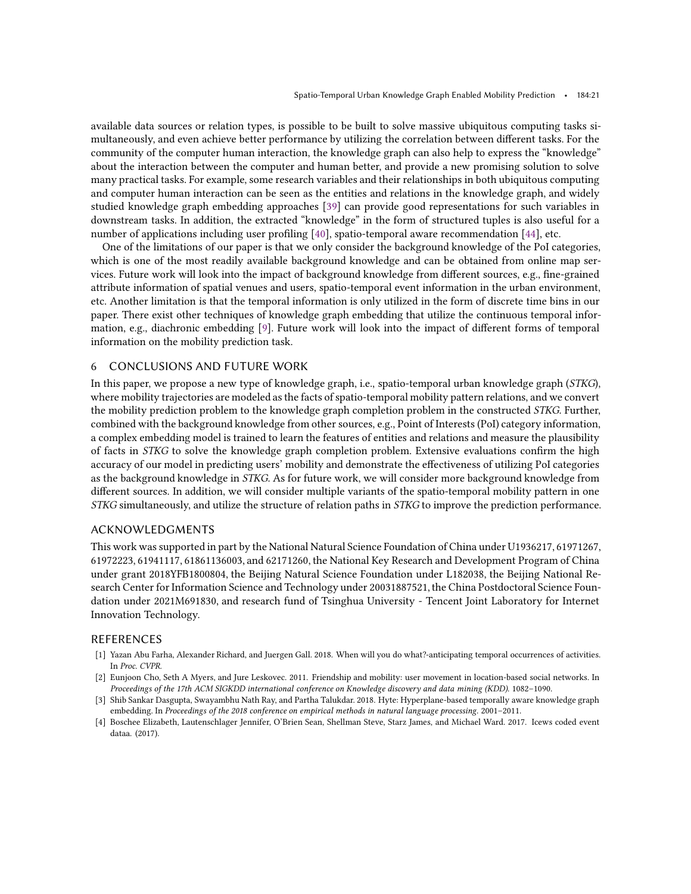available data sources or relation types, is possible to be built to solve massive ubiquitous computing tasks simultaneously, and even achieve better performance by utilizing the correlation between different tasks. For the community of the computer human interaction, the knowledge graph can also help to express the "knowledge" about the interaction between the computer and human better, and provide a new promising solution to solve many practical tasks. For example, some research variables and their relationships in both ubiquitous computing and computer human interaction can be seen as the entities and relations in the knowledge graph, and widely studied knowledge graph embedding approaches [\[39\]](#page-22-13) can provide good representations for such variables in downstream tasks. In addition, the extracted "knowledge" in the form of structured tuples is also useful for a number of applications including user profiling [\[40](#page-22-5)], spatio-temporal aware recommendation [\[44\]](#page-22-6), etc.

One of the limitations of our paper is that we only consider the background knowledge of the PoI categories, which is one of the most readily available background knowledge and can be obtained from online map services. Future work will look into the impact of background knowledge from different sources, e.g., fine-grained attribute information of spatial venues and users, spatio-temporal event information in the urban environment, etc. Another limitation is that the temporal information is only utilized in the form of discrete time bins in our paper. There exist other techniques of knowledge graph embedding that utilize the continuous temporal information, e.g., diachronic embedding [\[9\]](#page-21-21). Future work will look into the impact of different forms of temporal information on the mobility prediction task.

# <span id="page-20-0"></span>6 CONCLUSIONS AND FUTURE WORK

In this paper, we propose a new type of knowledge graph, i.e., spatio-temporal urban knowledge graph (STKG), where mobility trajectories are modeled as the facts of spatio-temporal mobility pattern relations, and we convert the mobility prediction problem to the knowledge graph completion problem in the constructed STKG. Further, combined with the background knowledge from other sources, e.g., Point of Interests (PoI) category information, a complex embedding model is trained to learn the features of entities and relations and measure the plausibility of facts in STKG to solve the knowledge graph completion problem. Extensive evaluations confirm the high accuracy of our model in predicting users' mobility and demonstrate the effectiveness of utilizing PoI categories as the background knowledge in STKG. As for future work, we will consider more background knowledge from different sources. In addition, we will consider multiple variants of the spatio-temporal mobility pattern in one STKG simultaneously, and utilize the structure of relation paths in STKG to improve the prediction performance.

## ACKNOWLEDGMENTS

This work was supported in part by the National Natural Science Foundation of China under U1936217, 61971267, 61972223, 61941117, 61861136003, and 62171260, the National Key Research and Development Program of China under grant 2018YFB1800804, the Beijing Natural Science Foundation under L182038, the Beijing National Research Center for Information Science and Technology under 20031887521, the China Postdoctoral Science Foundation under 2021M691830, and research fund of Tsinghua University - Tencent Joint Laboratory for Internet Innovation Technology.

# REFERENCES

- <span id="page-20-1"></span>[1] Yazan Abu Farha, Alexander Richard, and Juergen Gall. 2018. When will you do what?-anticipating temporal occurrences of activities. In Proc. CVPR.
- <span id="page-20-2"></span>[2] Eunjoon Cho, Seth A Myers, and Jure Leskovec. 2011. Friendship and mobility: user movement in location-based social networks. In Proceedings of the 17th ACM SIGKDD international conference on Knowledge discovery and data mining (KDD). 1082–1090.
- <span id="page-20-3"></span>[3] Shib Sankar Dasgupta, Swayambhu Nath Ray, and Partha Talukdar. 2018. Hyte: Hyperplane-based temporally aware knowledge graph embedding. In Proceedings of the 2018 conference on empirical methods in natural language processing. 2001–2011.
- <span id="page-20-4"></span>[4] Boschee Elizabeth, Lautenschlager Jennifer, O'Brien Sean, Shellman Steve, Starz James, and Michael Ward. 2017. Icews coded event dataa. (2017).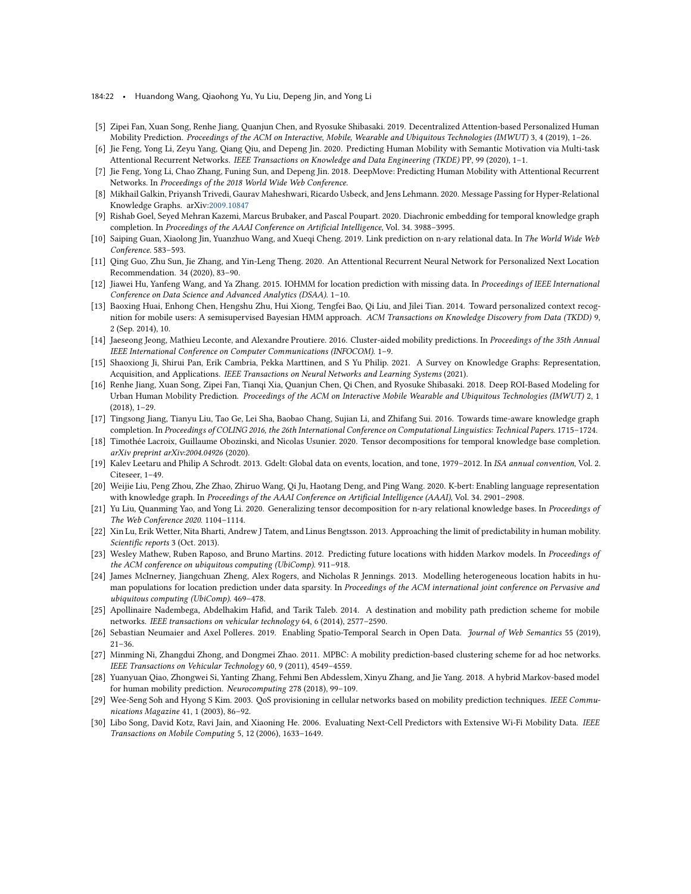184:22 • Huandong Wang, Qiaohong Yu, Yu Liu, Depeng Jin, and Yong Li

- <span id="page-21-9"></span>[5] Zipei Fan, Xuan Song, Renhe Jiang, Quanjun Chen, and Ryosuke Shibasaki. 2019. Decentralized Attention-based Personalized Human Mobility Prediction. Proceedings of the ACM on Interactive, Mobile, Wearable and Ubiquitous Technologies (IMWUT) 3, 4 (2019), 1–26.
- <span id="page-21-7"></span>[6] Jie Feng, Yong Li, Zeyu Yang, Qiang Qiu, and Depeng Jin. 2020. Predicting Human Mobility with Semantic Motivation via Multi-task Attentional Recurrent Networks. IEEE Transactions on Knowledge and Data Engineering (TKDE) PP, 99 (2020), 1–1.
- <span id="page-21-18"></span>[7] Jie Feng, Yong Li, Chao Zhang, Funing Sun, and Depeng Jin. 2018. DeepMove: Predicting Human Mobility with Attentional Recurrent Networks. In Proceedings of the 2018 World Wide Web Conference.
- <span id="page-21-4"></span>[8] Mikhail Galkin, Priyansh Trivedi, Gaurav Maheshwari, Ricardo Usbeck, and Jens Lehmann. 2020. Message Passing for Hyper-Relational Knowledge Graphs. arXiv[:2009.10847](https://arxiv.org/abs/2009.10847)
- <span id="page-21-21"></span>[9] Rishab Goel, Seyed Mehran Kazemi, Marcus Brubaker, and Pascal Poupart. 2020. Diachronic embedding for temporal knowledge graph completion. In Proceedings of the AAAI Conference on Artificial Intelligence, Vol. 34. 3988–3995.
- <span id="page-21-24"></span>[10] Saiping Guan, Xiaolong Jin, Yuanzhuo Wang, and Xueqi Cheng. 2019. Link prediction on n-ary relational data. In The World Wide Web Conference. 583–593.
- <span id="page-21-10"></span>[11] Qing Guo, Zhu Sun, Jie Zhang, and Yin-Leng Theng. 2020. An Attentional Recurrent Neural Network for Personalized Next Location Recommendation. 34 (2020), 83–90.
- <span id="page-21-16"></span>[12] Jiawei Hu, Yanfeng Wang, and Ya Zhang. 2015. IOHMM for location prediction with missing data. In Proceedings of IEEE International Conference on Data Science and Advanced Analytics (DSAA). 1–10.
- <span id="page-21-17"></span>[13] Baoxing Huai, Enhong Chen, Hengshu Zhu, Hui Xiong, Tengfei Bao, Qi Liu, and Jilei Tian. 2014. Toward personalized context recognition for mobile users: A semisupervised Bayesian HMM approach. ACM Transactions on Knowledge Discovery from Data (TKDD) 9, 2 (Sep. 2014), 10.
- <span id="page-21-14"></span>[14] Jaeseong Jeong, Mathieu Leconte, and Alexandre Proutiere. 2016. Cluster-aided mobility predictions. In Proceedings of the 35th Annual IEEE International Conference on Computer Communications (INFOCOM). 1–9.
- <span id="page-21-20"></span>[15] Shaoxiong Ji, Shirui Pan, Erik Cambria, Pekka Marttinen, and S Yu Philip. 2021. A Survey on Knowledge Graphs: Representation, Acquisition, and Applications. IEEE Transactions on Neural Networks and Learning Systems (2021).
- <span id="page-21-8"></span>[16] Renhe Jiang, Xuan Song, Zipei Fan, Tianqi Xia, Quanjun Chen, Qi Chen, and Ryosuke Shibasaki. 2018. Deep ROI-Based Modeling for Urban Human Mobility Prediction. Proceedings of the ACM on Interactive Mobile Wearable and Ubiquitous Technologies (IMWUT) 2, 1 (2018), 1–29.
- <span id="page-21-5"></span>[17] Tingsong Jiang, Tianyu Liu, Tao Ge, Lei Sha, Baobao Chang, Sujian Li, and Zhifang Sui. 2016. Towards time-aware knowledge graph completion. In Proceedings of COLING 2016, the 26th International Conference on Computational Linguistics: Technical Papers. 1715–1724.
- <span id="page-21-6"></span>[18] Timothée Lacroix, Guillaume Obozinski, and Nicolas Usunier. 2020. Tensor decompositions for temporal knowledge base completion. arXiv preprint arXiv:2004.04926 (2020).
- <span id="page-21-22"></span>[19] Kalev Leetaru and Philip A Schrodt. 2013. Gdelt: Global data on events, location, and tone, 1979–2012. In ISA annual convention, Vol. 2. Citeseer, 1–49.
- <span id="page-21-3"></span>[20] Weijie Liu, Peng Zhou, Zhe Zhao, Zhiruo Wang, Qi Ju, Haotang Deng, and Ping Wang. 2020. K-bert: Enabling language representation with knowledge graph. In Proceedings of the AAAI Conference on Artificial Intelligence (AAAI), Vol. 34. 2901–2908.
- <span id="page-21-25"></span>[21] Yu Liu, Quanming Yao, and Yong Li. 2020. Generalizing tensor decomposition for n-ary relational knowledge bases. In Proceedings of The Web Conference 2020. 1104–1114.
- <span id="page-21-12"></span>[22] Xin Lu, Erik Wetter, Nita Bharti, Andrew J Tatem, and Linus Bengtsson. 2013. Approaching the limit of predictability in human mobility. Scientific reports 3 (Oct. 2013).
- <span id="page-21-11"></span>[23] Wesley Mathew, Ruben Raposo, and Bruno Martins. 2012. Predicting future locations with hidden Markov models. In Proceedings of the ACM conference on ubiquitous computing (UbiComp). 911–918.
- <span id="page-21-19"></span>[24] James McInerney, Jiangchuan Zheng, Alex Rogers, and Nicholas R Jennings. 2013. Modelling heterogeneous location habits in human populations for location prediction under data sparsity. In Proceedings of the ACM international joint conference on Pervasive and ubiquitous computing (UbiComp). 469–478.
- <span id="page-21-0"></span>[25] Apollinaire Nadembega, Abdelhakim Hafid, and Tarik Taleb. 2014. A destination and mobility path prediction scheme for mobile networks. IEEE transactions on vehicular technology 64, 6 (2014), 2577–2590.
- <span id="page-21-23"></span>[26] Sebastian Neumaier and Axel Polleres. 2019. Enabling Spatio-Temporal Search in Open Data. Journal of Web Semantics 55 (2019), 21–36.
- <span id="page-21-1"></span>[27] Minming Ni, Zhangdui Zhong, and Dongmei Zhao. 2011. MPBC: A mobility prediction-based clustering scheme for ad hoc networks. IEEE Transactions on Vehicular Technology 60, 9 (2011), 4549–4559.
- <span id="page-21-15"></span>[28] Yuanyuan Qiao, Zhongwei Si, Yanting Zhang, Fehmi Ben Abdesslem, Xinyu Zhang, and Jie Yang. 2018. A hybrid Markov-based model for human mobility prediction. Neurocomputing 278 (2018), 99–109.
- <span id="page-21-2"></span>[29] Wee-Seng Soh and Hyong S Kim. 2003. QoS provisioning in cellular networks based on mobility prediction techniques. IEEE Communications Magazine 41, 1 (2003), 86–92.
- <span id="page-21-13"></span>[30] Libo Song, David Kotz, Ravi Jain, and Xiaoning He. 2006. Evaluating Next-Cell Predictors with Extensive Wi-Fi Mobility Data. IEEE Transactions on Mobile Computing 5, 12 (2006), 1633–1649.